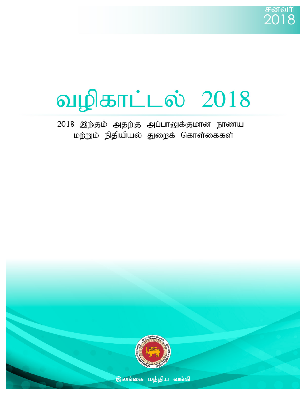# வழிகாட்டல் 2018

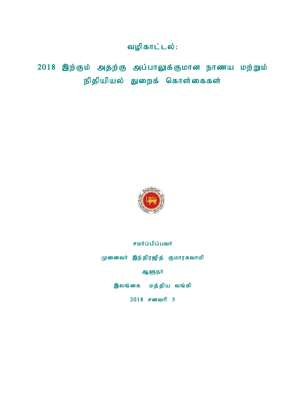வழிகாட்டல்:

 $2018$  இற்கும் அதற்கு அப்பாலுக்குமான நாணய மற்றும் நிதியியல் துறைக் கொள்கைகள்



## சமர்ப்பிப்பவர்

முனைவர் இந்திரஜித் குமாரசுவாமி

ஆளுநர்

இலங்கை மத்திய வங்கி

 $2018$  சனவரி 3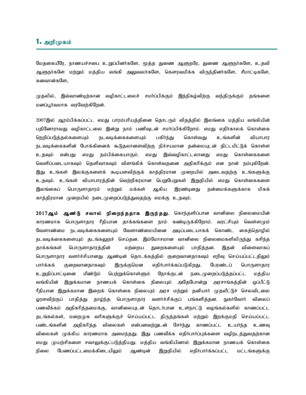### 1. அறிமுகம்

மேதகையீரே, நாணயச்சபை உறுப்பினர்களே, மூத்த துணை ஆளுநரே, துணை ஆளுநர்களே, உதவி ஆளுநர்களே மற்றும் மத்திய வங்கி அலுவலர்களே, கௌரவமிக்க விருந்தினர்களே, சீமாட்டிகளே, கனவான்களே.

முதலில், இவ்வாண்டிற்கான வழிகாட்டலைச் சமா்ப்பிக்கும் இந்நிகழ்விற்கு வந்திருக்கும் தங்களை மனப்பூர்வமாக வரவேர்கிறேன்.

2007இல் ஆரம்பிக்கப்பட்ட எமது பாரம்பரியத்தினை தொடரும் விதத்தில் இலங்கை மத்திய வங்கியின் பதினோராவது வழிகாட்டலை இன்று நாம் பணிவுடன் சமா்ப்பிக்கிறோம். எமது எதிர்காலக் கொள்கை நெறிப்படுத்தல்களையும் நடவடிக்கைகளையும் பகிர்ந்து கொள்வது உங்களின் வியாபார நடவடிக்கைகளின் போக்கினைக் கூடுதலானளவிற்கு நிச்சயமான தன்மையுடன் திட்டமிட்டுக் கொள்ள உதவும் என்பது எமது நம்பிக்கையாகும். எமது இவ்வழிகாட்டலானது எமது கொள்கைகளை வெளிப்படையாகவும் தெளிவாகவும் விளங்கிக் கொள்வதனை அதிகரிக்கும் என நான் நம்புகிறேன். இது உங்கள் இலக்குகளைக் கூடியளவிற்குக் காத்திரமான முறையில் அடைவதற்கு உங்களுக்கு உதவும். உங்கள் வியாபாரத்தின் வெற்றிகரமான பெறுபேறுகள் இறுதியில் எமது கொள்கைகளை இலங்கைப் பொருளாதாரம் மற்றும் மக்கள் ஆகிய இரண்டினது நன்மைக்களுக்காக மிகக் காத்திரமான முறையில் நடைமுறைப்படுத்துவதற்கு எமக்கு உதவும்.

2017ஆம் ஆண்டு சவால் நிறைந்ததாக இருந்தது. கொந்தளிப்பான வானிலை நிலைமையின் காரணமாக பொருளாதார ரீதியான தாக்கங்களை நாம் கண்டிருக்கிறோம். வரட்சியும் வெள்ளமும் வேளாண்மை நடவடிக்கைகளையும் வேளாண்மையினை அடிப்படையாகக் கொண்ட கைத்தொழில் நடவடிக்கைகளையும் தடங்கலுறச் செய்தன. இம்மோசமான வானிலை நிலைமைகளிலிருந்து கசிந்த தாக்கங்கள் பொருளாதாரத்தின் மற்றைய துறைகளையும் பாதித்தன. இதன் விளைவாகப் பொருளாதார வளர்ச்சியானது ஆண்டின் தொடக்கத்தில் குறைவானதாகவும் எறிவு செய்யப்பட்டதிலும் பார்க்கக் குறைவானதாகவும் இருக்குமென எதிர்பார்க்கப்படுகிறது. பேரண்டப் பொருளாதார உறுதிப்பாட்டினை மீண்டும் பெற்றுக்கொள்ளும் நோக்குடன் நடைமுறைப்படுத்தப்பட்ட மத்திய வங்கியின் இறுக்கமான நாணயக் கொள்கை நிலையும் அதேபோன்று அரசாங்கத்தின் ஒப்பீட்டு ரீதியான இறுக்கமான இறைக் கொள்கை நிலையும் அரச மற்றும் தனியார் முதலீட்டுச் செலவிடலை ஓரளவிற்குப் பாதித்து தாழ்ந்த பொருளாதார வளர்ச்சிக்குப் பங்களித்தன. நுகர்வோர் விலைப் பணவீக்கம் அதிகரித்தமைக்கு, வானிலையுடன் தொடர்பான உள்நாட்டு வழங்கல்களில் காணப்பட்ட தடங்கல்கள், மறைமுக வரிகளுக்குச் செய்யப்பட்ட திருத்தங்கள் மற்றும் இறக்குமதி செய்யப்பட்ட பண்டங்களின் அதிகரித்த விலைகள் என்பனவற்றுடன் சேர்ந்து காணப்பட்ட உயர்ந்த உணவு விலைகள் முக்கிய காரணமாக அமைந்தது. இது பணவீக்க எதிர்பார்ப்புக்களை வழிநடத்துவதற்கான எமது முயற்சிகளை சவாலுக்குட்படுத்தியது. மத்திய வங்கியினால் இறுக்கமான நாணயக் கொள்கை நிலை பேணப்பட்டமைக்கிடையிலும் ஆண்டின் இறுதியில் எதிர்பார்க்கப்பட்ட மட்டங்களுக்கு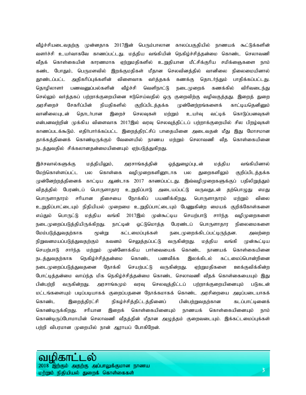வீழ்ச்சியடைவதற்கு முன்னதாக 2017இன் பெரும்பாலான காலப்பகுதியில் நாணயக் கூட்டுக்களின் வளர்ச்சி உயர்வாகவே காணப்பட்டது. மத்திய வங்கியின் நெகிழ்ச்சித்தன்மை கொண்ட செலாவணி வீதக் கொள்கையின் காரணமாக ஏற்றுமதிகளில் உறுதியான மீட்சிக்குரிய சமிக்ஞைகளை நாம் கண்ட போதும், பெருமளவில் இறக்குமதிகள் மீதான செலவினத்தில் வானிலை நிலைமையினால் தூண்டப்பட்ட அதிகரிப்புக்களின் விளைவாக வர்த்தகக் கணக்கு தொடர்ந்தும் பாதிக்கப்பட்டது. தொழிலாளர் பணவனுப்பல்களின் வீழ்ச்சி வெளிநாட்டு நடைமுறைக் கணக்கில் விரிவடைந்து செல்லும் வர்த்தகப் பற்றாக்குறையினை ஈடுசெய்வதில் ஒரு குறைவிற்கு வழிவகுத்தது. இறைத் துறை அரசிறைச் சேகரிப்பின் நியதிகளில் குறிப்பிடத்தக்க முன்னேற்றங்களைக் காட்டியதெனினும் வானிலையுடன் தொடர்பான இறைச் செலவுகள் மற்றும் உயர்வு வட்டிக் கொடுப்பனவுகள் என்பனவற்றின் முக்கிய விளைவாக 2017இல் வரவு செலவுத்திட்டப் பற்றாக்குறையில் சில பிறழ்வுகள் காணப்படக்கூடும். எதிர்பார்க்கப்பட்ட இறைத்திரட்சிப் பாதையினை அடைவதன் மீது இது மோசமான தாக்கத்தினைக் கொண்டிருக்கும் வேளையில் நாணய மற்றும் செலாவணி வீத கொள்கையினை நடத்துவதில் சிக்கலானதன்மையினையும் ஏற்படுத்துகிறது.

இச்சவால்களுக்கு மத்தியிலும், அரசாங்கத்தின் ஒத்துழைப்புடன் மத்திய வங்கியினால் மேற்கொள்ளப்பட்ட பல கொள்கை வழிமுறைகளினூடாக பல துறைகளிலும் குறிப்பிடத்தக்க முன்னேற்றத்தினைக் காட்டிய ஆண்டாக 2017 காணப்பட்டது. இவ்வழிமுறைகளுக்குப் பதிலிறுத்தும் விதத்தில் பேரண்டப் பொருளாதார உறுதிப்பாடு அடையப்பட்டு வருவதுடன் தற்பொழுது எமது பொருளாதாரம் சரியான திசையை நோக்கிப் பயணிக்கிறது. பொருளாதாரம் மற்றும் விலை உறுதிப்பாட்டையும் நிதியியல் முறைமை உறுதிப்பாட்டையும் பேணுகின்ற மையக் குறிக்கோள்களை எய்தும் பொருட்டு மத்திய வங்கி 2017இல் முன்கூட்டிய செயற்பாடு சார்ந்த வழிமுறைகளை நடைமுறைப்படுத்தியிருக்கிறது. நாட்டின் ஒட்டுமொத்த பேரண்டப் பொருளாதார நிலைமைகளை மேம்படுத்துவதற்காக மூன்று கட்டமைப்புக்கள் நடைமுறைக்கிடப்பட்டிருந்தன. அவற்றை நிறுவனமயப்படுத்துவதற்கும் கவனம் செலுத்தப்பட்டு வருகின்றது. மத்திய வங்கி முன்கூட்டிய செயற்பாடு சார்ந்த மற்றும் முன்னோக்கிய பார்வையைக் கொண்ட நாணயக் கொள்கையினை நடத்துவதற்காக நெகிழ்ச்சித்தன்மை கொண்ட பணவீக்க இலக்கிடல் கட்டமைப்பொன்றினை நடைமுறைப்படுத்துவதனை நோக்கி செயற்பட்டு வருகின்றது. ஏற்றுமதிகளை ஊக்குவிக்கின்ற போட்டித்தன்மை வாய்ந்த மிக நெகிழ்ச்சித்தன்மை கொண்ட செலாவணி வீதக் கொள்கையையும் இது பின்பற்றி வருகின்றது. அரசாங்கமும் வரவு செலவுத்திட்டப் பற்றாக்குறையினையும் படுகடன் மட்டங்களையும் படிப்படியாகக் குறைப்பதனை நோக்கமாகக் கொண்ட அரசிறையை அடிப்படையாகக் கொண்ட இறைத்திரட்சி நிகழ்ச்சித்திட்டத்தினைப் பின்பற்றுவதற்கான கடப்பாட்டினைக் கொண்டிருக்கிறது. சரியான இறைக் கொள்கையினையும் நாணயக் கொள்கையினையும் நாம் கொண்டிருப்போமாயின் செலாவணி வீதத்தின் மீதான அழுத்தம் குறைவடையும். இக்கட்டமைப்புக்கள் பற்றி விபரமான முறையில் நான் ஆராயப் போகிறேன்.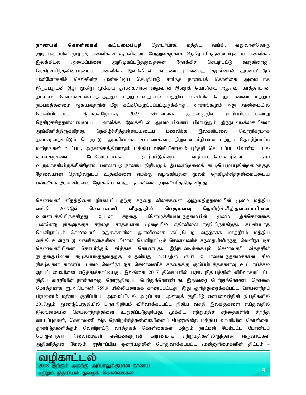**நாணயக் கொள்கைக் கட்டமைப்புத்** தொடர்பாக, மத்திய வங்கி, வலுவானதொரு அடிப்படையில் தாழ்ந்த பணவீக்கச் சூழலினைப் பேணுவதற்காக நெகிழ்ச்சித்தன்மையுடைய பணவீக்க இலக்கிடல் அமைப்பினை அறிமுகப்படுத்துவதனை நோக்கிச் செயற்பட்டு வருகின்றது. நெகிழ்ச்சித்தன்மையுடைய பணவீக்க இலக்கிடல் கட்டமைப்பு என்பது தரவினால் தூண்டப்படும் முன்னோக்கிச் செல்கின்ற முன்கூட்டிய செயற்பாடு சார்ந்த நாணயக் கொள்கை அமைப்பாக இருப்பதுடன் இது மூன்று முக்கிய தூண்களான வலுவான இறைக் கொள்கை ஆதரவு, காத்திரமான நாணயக் கொள்கையை நடத்துதல் மற்றும் வலுவான மத்திய வங்கியின் பொறுப்பாண்மை மற்றும் நம்பகத்தன்மை ஆகியவற்றின் மீது கட்டியெழுப்பப்பட்டிருக்கிறது. அரசாங்கமும் அது அண்மையில் வெளியிடப்பட்ட தொலைநோக்கு 2025 கொள்கை ஆவணத்தில் குறிப்பிடப்பட்டவாறு நெகிழ்ச்சித்தன்மையுடைய பணவீக்க இலக்கிடல் அமைப்பினைப் பின்பற்றும் இந்நடவடிக்கையினை அங்கீகரித்திருக்கிறது. நெகிழ்ச்சித்தன்மையுடைய பணவீக்க இலக்கிடலை வெற்றிகரமாக நடைமுறைக்கிடும் பொருட்டு, அவசியமான சட்டவாக்கம், நிறுவன ரீதியான மற்றும் தொழிற்பாட்டு மாற்றங்கள் உட்பட, அரசாங்கத்தினாலும் மத்திய வங்கியினாலும் பூர்த்தி செய்யப்பட வேண்டிய பல மைல்கற்களை மேலோட்டமாகக் குறிப்பிடுகின்ற வழிகாட்டலொன்றினை நாம் உருவாக்கியிருக்கின்றோம். பன்னாட்டு நாணய நிதியமும் இயலாற்றலைக் கட்டியெழுப்புகின்றமைக்குத் தேவையான தொழில்நுட்ப உதவிகளை எமக்கு வழங்கியதன் மூலம் நெகிழ்ச்சித்தன்மையுடைய பணவீக்க இலக்கிடலை நோக்கிய எமது நகர்வினை அங்கீகரித்திருக்கிறது.

செலாவணி வீதத்தினை நிர்ணயிப்பதற்கு சந்தை விசைகளை அனுமதித்தமையின் மூலம் மத்திய வங்கி 2017இல் செலாவணி வீதத்தில் பெருமளவு நெகிழ்ச்சித்தன்மையினை உள்ளடக்கியிருக்கிறது. உடன் சந்தை மீளெழுச்சியடைந்தமையின் மூலம் இக்கொள்கை முன்னெடுப்புக்களுக்குச் சந்தை சாதகமான முறையில் எதிர்வினையாற்றியிருக்கிறது. கடன்படாத வெளிநாட்டுச் செலாவணி ஒதுக்குகளின் அளவினைக் கட்டியெழுப்புவதற்காக மாத்திரம் மத்திய வங்கி உள்நாட்டு வங்கிகளுக்கிடையிலான வெளிநாட்டுச் செலாவணிச் சந்தையிலிருந்து வெளிநாட்டுச் செலாவணியினை தொடர்ந்தும் ஈர்த்துக் கொண்டது. இந்நடவடிக்கையும் செலாவணி வீதத்தின் நடத்தையினை சுமூகப்படுத்துவதற்கு உதவியது. 2017இல் ரூபா உயர்வடைந்தமைக்கான சில நிகழ்வுகள் காணப்பட்டமை வெளிநாட்டுச் செலாவணிச் சந்தைக்கு குறிப்பிடத்தக்களவு உட்பாய்ச்சல் ஏற்பட்டமையினை எடுத்துக்காட்டியது. இலங்கை 2017 திசெம்பரில் ப.நா. நிதியத்தின் விரிவாக்கப்பட்ட நிதிய வசதியின் நான்காவது தொகுதியைப் பெற்றுக்கொண்டது. இதுவரை பெற்றுக்கொண்ட தொகை மொத்தமாக ஐ.அ.டொலர் 759.9 மில்லியனாகக் காணப்பட்டது. இது குறித்துரைக்கப்பட்ட செயலாற்றப் பிரமாணம் மற்றும் குறிப்பிட்ட அமைப்பியல் அடிப்படை அளவுக் குறியீடு என்பனவற்றின் நியதிகளில் 2017ஆம் ஆண்டுப்பகுதியில் ப.நா.நிதியம் விரிவாக்கப்பட்ட நிதிய வசதி இலக்குகளை எய்துவதில் இலங்கையின் செயலாற்றத்தினை உறுதிப்படுத்தியது. முக்கிய ஏற்றுமதிச் சந்தைகளின் சிறந்த வாய்ப்புக்கள், செலாவணி வீத நெகிழ்ச்சித்தன்மையினைப் பேணுகின்ற மத்திய வங்கியின் கொள்கை, தூண்டுதலளிக்கும் வெளிநாட்டு வர்த்தகக் கொள்கைகள் மற்றும் நாட்டின் மேம்பட்ட பேரண்டப் பொருளாதார நிலைமைகள் என்பனவற்றின் காரணமாக ஏற்றுமதிகளிலிருந்தான வருவாய்கள் அதிகரித்தன. மேலும், ஐரோப்பிய ஒன்றியத்தின் பொதுவாக்கப்பட்ட முன்னுரிமைகளின் திட்டம் +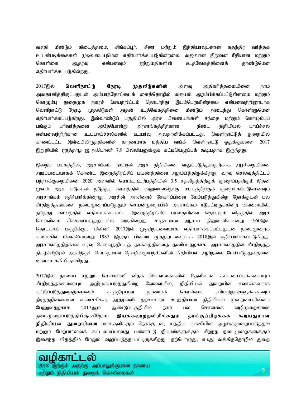வசதி மீண்டும் கிடைத்தமை, சிங்கப்பூர், சீனா மற்றும் இந்தியாவுடனான சுதந்திர வர்த்தக உடன்படிக்கைகள் முடிவடையுமென எதிர்பார்க்கப்படுகின்றமை. வலுவான நிறுவன ரீதியான மற்றும் கொள்கை ஆதரவு என்பனவும் ஏற்றுமதிகளின் உத்வேகத்தினைத் தூண்டுமென எதிர்பார்க்கப்படுகின்றது.

2017இல் **வெளிநாட்டு நேரடி முதலீடுகளின்** அளவு அதிகரித்தமையினை நாம் அவதானித்திருப்பதுடன் அம்பாந்தோட்டைக் கைத்தொழில் வலயம் ஆரம்பிக்கப்பட்டுள்ளமை மற்றும் கொழும்பு துறைமுக நகரச் செயற்றிட்டம் தொடர்ந்து இடம்பெறுகின்றமை என்பனவற்றினூடாக வெளிநாட்டு நேரடி முதலீடுகள் அதன் உத்வேகத்தினை மீண்டும் அடைந்து கொள்ளுமென எதிர்பார்க்கப்படுகிறது. இவ்வாண்டுப் பகுதியில் அரச பிணையங்கள் சந்தை மற்றும் கொழும்புப் பங்குப் பரிவர்த்தனை அதேபோன்று அரசாங்கத்திற்கான நீண்ட நிதியியல் பாய்ச்சல் என்பனவற்றிற்கான உட்பாய்ச்சல்களில் உயர்வு அவதானிக்கப்பட்டது. வெளிநாட்டுத் துறையில் காணப்பட்ட இவ்வபிவிருத்திகளின் காரணமாக மத்திய வங்கி வெளிநாட்டு ஒதுக்குகளை 2017 இறுதியில் ஏறத்தாழ ஐ.அ.டொலா் 7.9 பில்லியனுக்குக் கட்டியெழுப்பக் கூடியதாக இருந்தது.

இறைப் பக்கத்தில், அரசாங்கம் நாட்டின் அரச நிதியினை வலுப்படுத்துவதற்காக அரசிறையினை அடிப்படையாகக் கொண்ட இறைத்திரட்சிப் பயணத்தினை ஆரம்பித்திருக்கிறது. வரவு செலவுத்திட்டப் பற்றாக்குறையினை 2020 அளவில் மொ.உ.உற்பத்தியின் 3.5 சதவீதத்திற்குக் குறைப்பதற்கும் இதன் மூலம் அரச படுகடன் நடுத்தர காலத்தில் வலுவானதொரு மட்டத்திற்குக் குறைக்கப்படுமெனவும் அரசாங்கம் எதிர்பார்க்கின்றது. அரசின் அரசிறைச் சேகரிப்பினை மேம்படுத்துகின்ற நோக்குடன் பல சீர்திருத்தங்களை நடைமுறைப்படுத்தும் செயன்முறையில் அரசாங்கம் ஈடுபட்டிருக்கின்ற வேளையில், நடுத்தர காலத்தில் எதிர்பார்க்கப்பட்ட இறைத்திரட்சிப் பாதையினை தொடரும் விதத்தில் அரச செலவினம் சிக்கனப்படுத்தப்பட்டு வருகின்றது. சாதகமான ஆரம்ப நிலுவையொன்று 1950இன் தொடக்கப் பகுதிக்குப் பின்னர் 2017இல் முதற்றடவையாக எதிர்பார்க்கப்பட்டதுடன் நடைமுறைக் கணக்கில் மிகையொன்று 1987 இற்குப் பின்னர் முதற்றடவையாக 2018இல் எதிர்பார்க்கப்படுகிறது. அரசாங்கத்திற்கான வரவு செலவுத்திட்டத் தாக்கத்தினைத் தணிப்பதற்காக, அரசாங்கத்தின் சீர்திருத்த நிகழ்ச்சிநிரல் அரசிற்குச் சொந்தமான தொழில்முயற்சிகளின் நிதியியல் ஆற்றலை மேம்படுத்துவதனை உள்ளடக்கியிருக்கிறது.

2017இல் நாணய மற்றும் செலாவணி வீதக் கொள்கைகளில் தெளிவான கட்டமைப்புக்களையும் சீர்திருத்தங்களையும் அறிமுகப்படுத்துகின்ற வேளையில், நிதியியல் துறையின் சவால்களைக் கட்டுப்படுத்துவதற்காகவும் காத்திரமான நாணயக் கொள்கை பரிமாற்றங்களுக்காகவும் நீடித்தநிலையான வளர்ச்சிக்கு ஆதரவளிப்பதற்காகவும் உறுதியான நிதியியல் முறைமையினைப் பேணுவதற்காக 2017ஆம் ஆண்டுப்பகுதியில் நாம் பல கொள்கை வழிமுறைகளை நடைமுறைப்படுத்தியிருக்கிறோம். **இயக்கவாற்றல்மிக்கதும் தாக்குப்பிடிக்கக் கூடியதுமான நிதியியல் துறையினை** ஊக்குவிக்கும் நோக்குடன், மத்திய வங்கியின் ஒழுங்குமுறைப்படுத்தல் மற்றும் மேற்பார்வைக் கட்டமைப்பானது பன்னாட்டு நியமங்களுக்கும் சிறந்த நடைமுறைகளுக்கும் இசைந்த விதத்தில் மேலும் வலுப்படுத்தப்பட்டிருக்கிறது. தற்பொழுது, எமது வங்கித்தொழில் துறை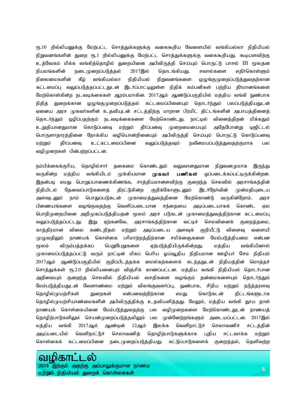ரூ.10 றில்லியனுக்கு மேற்பட்ட சொத்துக்களுக்கு வகைகூறிய வேளையில் வங்கியல்லா நிதியியல் நிறுவனங்களின் துறை ரூ.1 றில்லியனுக்கு மேற்பட்ட சொத்துக்களுக்கு வகைகூறியது. கூடியளவிற்கு <u>உத்</u>வேகம் மிக்க வங்கித்தொழில் துறையினை அபிவிருத்தி செய்யும் பொருட்டு பாசல் III மூலதன நியமங்களின் நடைமுறைப்படுத்தல் 2017இல் தொடங்கியது. சவால்களை எதிர்கொள்ளும் நிலைமைகளின் கீழ் வங்கியல்லா நிதியியல் நிறுவனங்களை ஒழுங்குமுறைப்படுத்துவதற்கான கட்டமைப்பு வலுப்படுத்தப்பட்டதுடன் இடர்ப்பாட்டிலுள்ள நிதிக் கம்பனிகள் பற்றிய தீர்மானங்களை மேற்கொள்கின்ற நடவடிக்கைகள் ஆரம்பமாகின. 2017ஆம் ஆண்டுப்பகுதியில் மத்திய வங்கி நுண்பாக நிதித் துறைக்கான ஒழுங்குமுறைப்படுத்தல் கட்டமைப்பினையும் தொடர்ந்தும் பலப்படுத்தியதுடன் ஏனைய அரச முகவர்களின் உதவியுடன் சட்டத்திற்கு மாறான பிரமிட் திட்டங்களின் அபாயத்தினைத் தொடர்ந்தும் ஒழிப்பதற்கும் நடவடிக்கைகளை மேற்கொண்டது. நாட்டில் வினைத்திறன் மிக்கதும் உறுதியானதுமான கொடுப்பனவு மற்றும் தீா்ப்பனவு முறைமையையும் அதேபோன்று டிஜிட்டல் பொருளாதாரத்தினை நோக்கிய வழியொன்றினையும் அபிவிருத்தி செய்யும் பொருட்டு கொடுப்பனவு மற்றும் தீா்ப்பனவு உட்கட்டமைப்பினை வலுப்படுத்தவும் நவீனமயப்படுத்துவதற்குமாக பல வழிமுறைகள் பின்பற்றப்பட்டன.

நம்பிக்கைக்குரிய, தொழில்சார் தகைமை கொண்டதும் வலுவானதுமான நிறுவனமுமாக இருந்து வருகின்ற மத்திய வங்கியிடம் முக்கியமான **முகவர் பணிகள்** ஒப்படைக்கப்பட்டிருக்கின்றன. இதன்படி எமது பொறுப்பாணைக்கிணங்க, சாத்தியமானளவிற்கு குறைந்த செலவில் அரசாங்கத்தின் நிதியிடல் தேவைப்பாடுகளைத் திரட்டுகின்ற குறிக்கோளுடனும் இடர்நேர்வின் முன்மதியுடைய அளவுடனும் நாம் பொதுப்படுகடன் முகாமைத்துவத்தினை மேற்கொண்டு வருகின்றோம். அரச பிணையங்களை வழங்குவதற்கு வெளிப்படையான சந்தையை அடிப்படையாகக் கொண்ட ஏல பொறிமுறையினை அறிமுகப்படுத்தியதன் மூலம் அரச படுகடன் முகாமைத்துவத்திற்கான கட்டமைப்பு வலுப்படுத்தப்பட்டது. இது ஏற்கனவே, அரசாங்கத்திற்கான வட்டிச் செலவினைக் குறைத்தமை, காத்திரமான விலை கண்டறிதல் மற்றும் அடிப்படைய அளவுக் குறியீட்டு விளைவு வளையி முழுவதிலும் நாணயக் கொள்கை பரிமாற்றத்திற்கான சமிக்ஞைகளை மேம்படுத்தியமை என்பன மூலம் விரும்பத்தக்கப் பெறுபேறுகளை ஏற்படுத்தியிருக்கின்றது. மத்திய வங்கியினால் முகாமைப்படுத்தப்பட்டு வரும் நாட்டின் மிகப் பெரிய ஓய்வூதிய நிதியமான ஊழியர் சேம நிதியம் 2017ஆம் ஆண்டுப்பகுதியில் குறிப்பிடத்தக்க மைல்கற்களைக் கடந்ததுடன் நிதியத்தின் மொத்தச் சொத்துக்கள் ரூ.2.0 றில்லியனையும் விஞ்சிக் காணப்பட்டன. மத்திய வங்கி நிதியியல் தொடர்பான அறிவையும் குறைந்த செலவில் நிதியியல் வசதிகளை வழங்கும் தன்மைகளையும் தொடர்ந்தும் மேம்படுத்தியதுடன் வேளாண்மை மற்றும் விலங்குவளர்ப்பு, நுண்பாக, சிறிய மற்றும் நடுத்தரளவு தொழில்முயற்சிகள் துறைகள் என்பனவற்றிற்கான எமது கொடுகடன் திட்டங்களூடாக தொழில்முயற்சியாண்மைகளின் அபிவிருத்திக்கு உதவியளித்தது. மேலும், மத்திய வங்கி தூய தாள் நாணயக் கொள்கையினை மேம்படுத்துவதற்கு பல வழிமுறைகளை மேற்கொண்டதுடன் நாணயத் தொழிற்பாடுகளிலும் செயன்முறைப்படுத்தலிலும் பல முன்னேற்றங்களும் அடையப்பட்டன. 2017இல் மத்திய வங்கி 2017ஆம் ஆண்டின் 12ஆம் இலக்க வெளிநாட்டுச் செலாவணிச் சட்டத்தின் அடிப்படையில் வெளிநாட்டுச் செலாவணித் தொழிற்பாடுகளுக்காக புதிய சட்டவாக்க மற்றும் கொள்கைக் கட்டமைப்பினை நடைமுறைப்படுத்தியது. கட்டுப்பாடுகளைக் குறைத்தல், தெளிவற்ற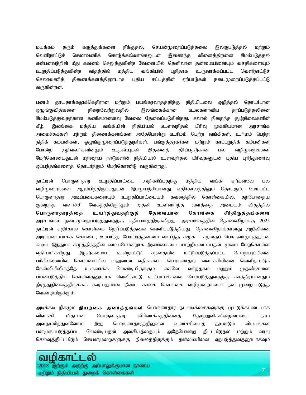மயக்கம் தரும் கருத்துக்களை நீக்குதல், செயன்முறைப்படுத்தலை இலகுபடுத்தல் மற்றும் வெளிநாட்டுச் செலாவணிக் கொடுக்கல்வாங்கலுடன் இணைந்த வினைத்திறனை மேம்படுத்தல் என்பனவற்றின் மீது கவனம் செலுத்துகின்ற வேளையில் தெளிவான தன்மையினையும் வசதிகளையும் உறுதிப்படுத்துகின்ற விதத்தில் மத்திய வங்கியில் புதிதாக உருவாக்கப்பட்ட வெளிநாட்டுச் செலாவணித் திணைக்களத்தினூடாக புதிய சட்டத்தின் ஏற்பாடுகள் நடைமுறைப்படுத்தப்பட்டு வருகின்றன.

பணம் தூயதாக்கலுக்கெதிரான மற்றும் பயங்கரவாதத்திற்கு நிதியிடலை ஒழித்தல் தொடர்பான ஒழுங்குவிதிகளை நிறைவேற்றுவதில் இலங்கைக்கான உலகளாவிய தரப்படுத்தலினை மேம்படுத்துவதற்கான கணிசமானளவு வேலை தேவைப்படுகின்றது. சவால் நிறைந்த சூழ்நிலைகளின் கீழ், இலங்கை மத்திய வங்கியின் நிதியியல் உளவறிதல் பிரிவு முக்கியமான அரசாங்க அமைச்சுக்கள் மற்றும் திணைக்களங்கள் அதேபோன்று உரிமம் பெற்ற வங்கிகள், உரிமம் பெற்ற நிதிக் கம்பனிகள், ஒழுங்குமுறைப்படுத்துநர்கள், பங்குத்தரகர்கள் மற்றும் காப்புறுதிக் கம்பனிகள் போன்ற ஆர்வலர்களினதும் உதவியுடன் இதனைத் தீர்ப்பதற்கான பல வழிமுறைகளை மேற்கொண்டதுடன் மற்றைய நாடுகளின் நிதியியல் உளவறிதல் பிரிவுகளுடன் புதிய புரிந்துணர்வு ஒப்பந்தங்களைத் தொடர்ந்தும் மேற்கொண்டு வருகின்றது.

நாட்டின் பொருளாதார உறுதிப்பாட்டை அதிகரிப்பதற்கு மத்திய வங்கி ஏற்கனவே பல வழிமுறைகளை ஆரம்பித்திருப்பதுடன் இம்முயற்சியானது எதிர்காலத்திலும் தொடரும். மேம்பட்ட பொருளாதார அடிப்படைகளையும் உறுதிப்பாட்டையும் கவனத்தில் கொள்கையில், தற்போதைய குறைந்த வளர்ச்சி வேகத்திலிருந்தும் அதன் உள்ளார்ந்த வளத்தை அடையும் விதத்தில் பொருளாதாரத்தை உயர்த்துவதற்குத் தேவையான கொள்கை சீர்திருத்தங்களை அரசாங்கம் நடைமுறைப்படுத்துவதற்கு எதிர்பார்த்திருக்கிறது. அரசாங்கத்தின் தொலைநோக்கு 2025 நாட்டின் எதிர்கால கொள்கை நெறிப்படுத்தலை வெளிப்படுத்தியது. தொலைநோக்கானது அறிவினை அடிப்படையாகக் கொண்ட, உயர்ந்த போட்டித்தன்மை வாய்ந்த சமூக - சந்தைப் பொருளாதாரத்துடன் கூடிய இந்துமா சமுத்திரத்தின் மையமொன்றாக இலங்கையை மாற்றியமைப்பதன் மூலம் மேற்கொள்ள எதிர்பார்க்கிறது. இதற்கமைய, உள்நாட்டுச் சந்தையின் மட்டுப்படுத்தப்பட்ட செயற்பரப்பினை பரிசீலனையில் கொள்கையில் வலுவான எதிர்காலப் பொருளாதார வளர்ச்சியினை வெளிநாட்டுக் கேள்வியிலிருந்தே உருவாக்க வேண்டியிருக்கும். எனவே, வர்த்தகம் மற்றும் முதலீடுகளை பயன்படுத்திக் கொள்வதனூடாக வெளிநாட்டு உட்பாய்ச்சலை மேம்படுத்துவதற்கு காத்திரமானதும் நீடித்துநிலைத்திருக்கக் கூடியதுமான நீண்ட காலக் கொள்கை வழிமுறைகளை நடைமுறைப்படுத்த வேண்டியிருக்கும்.

அடிக்கடி நிகழும் **இயற்கை அனர்த்தங்கள்** பொருளாதார நடவடிக்கைகளுக்கு முட்டுக்கட்டையாக விளங்கி மிதமான பொருளாதார விரிவாக்கத்தினைத் தோற்றுவிக்கின்றமையை நாம் அவதானித்துள்ளோம். இது பொருளாதாரத்திலுள்ள வளர்ச்சியைத் தூண்டும் விடயங்கள் பன்முகப்படுத்தப்பட வேண்டியதன் அவசியத்தையும் அதேபோன்று திட்டமிடுதல் மற்றும் வரவு செலவுத்திட்டமிடும் செயன்முறைகளுக்கு நிலைத்திருக்கும் தன்மையினை ஏற்படுத்துவதனூடாகவும்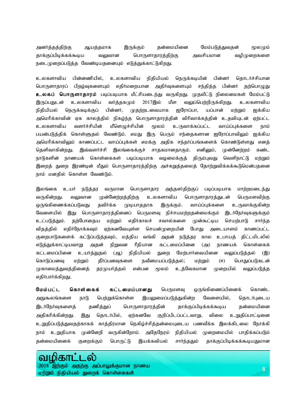அனர்த்தத்திற்கு ஆயத்தமாக இருக்கும் தன்மையினை மேம்படுத்துவதன் மூலமும் தாக்குப்பிடிக்கக்கூடிய வலுவான பொருளாதாரத்திற்கு அவசியமான வழிமுறைகளை நடைமுறைப்படுத்த வேண்டியதனையும் எடுத்துக்காட்டுகிறது.

உலகளாவிய பின்னணியில், உலகளாவிய நிதியியல் நெருக்கடியின் பின்னர் தொடர்ச்சியான பொருளாதாரப் பிறழ்வுகளையும் எதிா்மறையான அதிா்வுகளையும் சந்தித்த பின்னா் தற்பொழுது **உலகப் பொருளாதாரம்** படிப்படியாக மீட்சியடைந்து வருகிறது. முதலீட்டு நிலைமைகள் மேம்பட்டு இருப்பதுடன் உலகளாவிய வர்த்தகமும் 2017இல் மீள வலுப்பெற்றிருக்கிறது. உலகளாவிய நிதியியல் நெருக்கடிக்குப் பின்னர், முதற்றடவையாக ஐரோப்பா, யப்பான் மற்றும் ஐக்கிய அமெரிக்காவின் ஏக காலத்தில் நிகழ்ந்த பொருளாதாரத்தின் விரிவாக்கத்தின் உதவியுடன் ஏற்பட்ட உலகளாவிய வளர்ச்சியின் மீளெழுச்சியின் மூலம் உருவாக்கப்பட்ட வாய்ப்புக்களை நாம் பயன்படுத்திக் கொள்ளுதல் வேண்டும். எமது இரு பெரும் சந்தைகளான ஐரோப்பாவிலும் ஐக்கிய அமெரிக்காவிலும் காணப்பட்ட வாய்ப்புக்கள் எமக்கு அதிக சந்தர்ப்பங்களைக் கொண்டுள்ளது எனத் தெளிவாகின்றது. இவ்வளர்ச்சி இலங்கைக்குச் சாதகமானதாகும். எனினும், முன்னேற்றம் கண்ட நாடுகளின் நாணயக் கொள்கைகள் படிப்படியாக வழமைக்குத் திரும்புவது வெளிநாட்டு மற்றும் இறைத் துறை இரண்டின் மீதும் பொருளாதாரத்திற்கு அச்சுறுத்தலைத் தோற்றுவிக்கக்கூடுமென்பதனை நாம் மனதில் கொள்ள வேண்டும்.

இலங்கை உயர் நடுத்தர வருமான பொருளாதார அந்தஸ்திற்குப் படிப்படியாக மாற்றமடைந்து வருகின்றது. வலுவான முன்னேற்றத்திற்கு உலகளாவிய பொருளாதாரத்துடன் பெருமளவிற்கு ஒருங்கிணைக்கப்படுவது தவிர்க்க முடியாததாக இருக்கும். வாய்ப்புக்களை உருவாக்குகின்ற வேளையில் இது பொருளாதாரத்தினைப் பெருமளவு நிச்சயமற்றதன்மைக்கும் இடர்நேர்வுகளுக்கும் உட்படுத்தும். தற்போதைய மற்றும் எதிர்காலச் சவால்களை முன்கூட்டிய செயற்பாடு சார்ந்த விதத்தில் எதிர்நோக்கவும் ஏற்கனவேயுள்ள செயன்முறையின் போது அடையாளம் காணப்பட்ட குறைபாடுகளைக் கட்டுப்படுத்தவும், மத்திய வங்கி அதன் நடுத்தர கால உபாயத் திட்டமிடலில் எடுத்துக்காட்டியவாறு அதன் நிறுவன ரீதியான கட்டமைப்பினை (அ) நாணயக் கொள்கைக் கட்டமைப்பினை உயர்த்துதல் (ஆ) நிதியியல் துறை மேற்பார்வையினை வலுப்படுத்தல் (இ) கொடுப்பனவு மற்றும் தீர்ப்பனவுகளை நவீனமயப்படுத்தல்; மற்றும் (ஈ) பொதுப்படுகடன் முகாமைத்துவத்தினைத் தரமுயர்த்தல் என்பன மூலம் உத்வேகமான முறையில் வலுப்படுத்த எதிர்பார்க்கிறது.

**மேம்பட்ட கொள்கைக் கட்டமைப்பானது** பெருமளவு ஒருங்கிணைப்பினைக் கொண்ட அநுகூலங்களை நாடு பெற்றுக்கொள்ள இயலுமைப்படுத்துகின்ற வேளையில், தொடர்புடைய இடர்நேர்வுகளைத் தணித்துப் பொருளாதாரத்தின் தாக்குப்பிடிக்கக்கூடிய தன்மையினை அதிகரிக்கின்றது. இது தொடர்பில், ஏற்கனவே குறிப்பிடப்பட்டவாறு, விலை உறுதிப்பாட்டினை உறுதிப்படுத்துவதற்காகக் காத்திரமான நெகிழ்ச்சித்தன்மையுடைய பணவீக்க இலக்கிடலை நோக்கி நாம் உறுதியாக முன்னேறி வருகின்றோம். அதேநேரம் நிதியியல் முறைமையில் பாதிக்கப்படும் தன்மையினைக் குறைக்கும் பொருட்டு இயக்கவியல் சார்ந்ததும் தாக்குப்பிடிக்கக்கூடியதுமான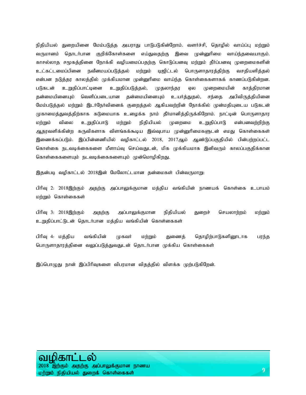நிதியியல் துறையினை மேம்படுத்த அயராது பாடுபடுகின்றோம். வளர்ச்சி, தொழில் வாய்ப்பு மற்றும் வருமானம் தொடர்பான குறிக்கோள்களை எய்துவதற்கு இவை முன்னுரிமை வாய்ந்தவையாகும். காசல்லாத சமூகத்தினை நோக்கி வழியமைப்பதற்கு கொடுப்பனவு மற்றும் தீர்ப்பனவு முறைமைகளின் உட்கட்டமைப்பினை நவீனமயப்படுத்தல் மற்றும் டிஜிட்டல் பொருளாதாரத்திற்கு வசதியளித்தல் என்பன நடுத்தர காலத்தில் முக்கியமான முன்னுரிமை வாய்ந்த கொள்கைகளாகக் காணப்படுகின்றன. படுகடன் உறுதிப்பாட்டினை உறுதிப்படுத்தல், முதலாந்தர ஏல முறைமையின் காத்திரமான தன்மையினையும் வெளிப்படையான தன்மையினையும் உயர்த்துதல், சந்தை அபிவிருத்தியினை மேம்படுத்தல் மற்றும் இடர்நேர்வினைக் குறைத்தல் ஆகியவற்றின் நோக்கில் முன்மதியுடைய படுகடன் முகாமைத்துவத்திற்காக கடுமையாக உழைக்க நாம் தீர்மானித்திருக்கிறோம். நாட்டின் பொருளாதார மற்றும் விலை உறுதிப்பாடு மற்றும் நிதியியல் முறைமை உறுதிப்பாடு என்பனவற்றிற்கு ஆதரவளிக்கின்ற கருவிகளாக விளங்கக்கூடிய இவ்வுபாய முன்னுரிமைகளுடன் எமது கொள்கைகள் இணைக்கப்படும். இப்பின்னணியில் வழிகாட்டல் 2018, 2017ஆம் ஆண்டுப்பகுதியில் பின்பற்றப்பட்ட கொள்கை நடவடிக்கைகளை மீளாய்வு செய்வதுடன், மிக முக்கியமாக இனிவரும் காலப்பகுதிக்கான கொள்கைகளையும் நடவடிக்கைகளையும் முன்மொழிகிறது.

இதன்படி வழிகாட்டல் 2018இன் மேலோட்டமான தன்மைகள் பின்வருமாறு:

பிரிவு 2: 2018இற்கும் அதற்கு அப்பாலுக்குமான மத்திய வங்கியின் நாணயக் கொள்கை உபாயம் மற்றும் கொள்கைகள்

பிரிவு 3: 2018இற்கும் அதற்கு அப்பாலுக்குமான நிதியியல் துறைச் செயலாற்றம் மற்றும் உறுதிப்பாட்டுடன் தொடர்பான மத்திய வங்கியின் கொள்கைகள்

பிரிவு 4: மத்திய வங்கியின் ;முகவர் மற்றும் துணைத் தொழிற்பாடுகளினூடாக பரந்த பொருளாதாரத்தினை வலுப்படுத்துவதுடன் தொடர்பான முக்கிய கொள்கைகள்

இப்பொழுது நான் இப்பிரிவுகளை விபரமான விதத்தில் விளக்க முற்படுகிறேன்.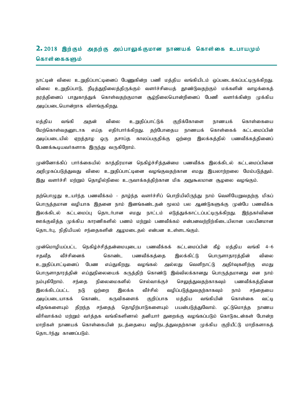## $\textbf{2.} \, 2018$  இற்கும் அதற்கு அப்பாலுக்குமான நாணயக் கொள்கை உபாயமும் கொள்கைகளும்

நாட்டின் விலை உறுதிப்பாட்டினைப் பேணுகின்ற பணி மத்திய வங்கியிடம் ஒப்படைக்கப்பட்டிருக்கிறது. விலை உறுதிப்பாடு, நீடித்துநிலைத்திருக்கும் வளர்ச்சியைத் தூண்டுவதற்கும் மக்களின் வாழக்கைத் தரத்தினைப் பாதுகாத்துக் கொள்வதற்குமான சூழ்நிலையொன்றினைப் பேணி வளர்க்கின்ற முக்கிய அடிப்படையொன்றாக விளங்குகிறது.

மத்திய வங்கி அதன் விலை உறுதிப்பாட்டுக் குறிக்கோளை நாணயக் கொள்கையை மேற்கொள்வதனூடாக எய்த எதிர்பார்க்கிறது. தற்போதைய நாணயக் கொள்கைக் கட்டமைப்பின் அடிப்படையில் ஏறத்தாழ ஒரு தசாப்த காலப்பகுதிக்கு ஒற்றை இலக்கத்தில் பணவீக்கத்தினைப் பேணக்கூடியவர்களாக இருந்து வருகிறோம்.

முன்னோக்கிப் பார்க்கையில் காத்திரமான நெகிழ்ச்சித்தன்மை பணவீக்க இலக்கிடல் கட்டமைப்பினை அறிமுகப்படுத்துவது விலை உறுதிப்பாட்டினை வழங்குவதற்கான எமது இயலாற்றலை மேம்படுத்தும். இது வளர்ச்சி மற்றும் தொழில்நிலை உருவாக்கத்திற்கான மிக அநுகூலமான சூழலை வழங்கும்.

தற்பொழுது உயர்ந்த பணவீக்கம் - தாம்ந்த வளர்ச்சிப் பொறியிலிருந்து நாம் வெளியேறுவதற்கு மிகப் பொருத்தமான வழியாக இதனை நாம் இனங்கண்டதன் மூலம் பல ஆண்டுகளுக்கு முன்பே பணவீக்க இலக்கிடல் கட்டமைப்பு தொடர்பான எமது நாட்டம் எடுத்துக்காட்டப்பட்டிருக்கிறது. இந்நகர்வினை ஊக்குவித்த முக்கிய காரணிகளில் பணம் மற்றும் பணவீக்கம் என்பனவற்றிற்கிடையிலான பலயீனமான தொடர்பு, நிதியியல் சந்தைகளின் ஆழமடைதல் என்பன உள்ளடங்கும்.

முன்மொழியப்பட்ட நெகிழ்ச்சித்தன்மையுடைய பணவீக்கக் கட்டமைப்பின் கீழ் மத்திய வங்கி 4–6 சதவீத வீச்சினைக் கொண்ட பணவீக்கக்கை இலக்கிட்டு பொருளாதாரத்தின் விலை உறுதிப்பாட்டினைப் பேண எய்துகிறது. வழங்கல் அல்லது வெளிநாட்டு அதிர்வுகளிற்கு எமது பொருளாதாரத்தின் எய்துநிலையைக் கருத்திற் கொண்டு இவ்விலக்கானது பொருத்தமானது என நாம் நம்புகிறோம். சந்தை நிலைமைகளில் செல்வாக்குச் செலுத்துவதற்காகவும் பணவீக்கத்தினை இலக்கிடப்பட்ட நடு ஒற்றை இலக்க வீச்சில் வழிப்படுத்துவதற்காகவும் நாம் சந்தையை அடிப்படையாகக் கொண்ட கருவிகளைக் குறிப்பாக மத்திய வங்கியின் கொள்கை வட்டி வீதங்களையும் திறந்த சந்தைத் தொழிற்பாடுகளையும் பயன்படுத்துவோம். ஒட்டுமொத்த நாணய விரிவாக்கம் மற்றும் வர்த்தக வங்கிகளினால் தனியார் துறைக்கு வழங்கப்படும் கொடுகடன்கள் போன்ற மாறிகள் நாணயக் கொள்கையின் நடத்தையை வழிநடத்துவதற்கான முக்கிய குறியீட்டு மாறிகளாகத் தொடர்ந்து காணப்படும்.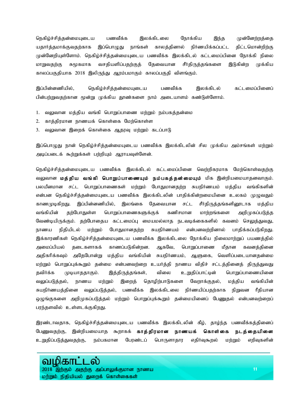நெகிழ்ச்சித்தன்மையுடைய பணவீக்க இலக்கிடலை நோக்கிய இந்த முன்னேற்றத்தை யதார்த்தமாக்குவதற்காக இப்பொழுது நாங்கள் காலத்தினால் நிர்ணயிக்கப்பட்ட திட்டமொன்றிற்கு முன்னேறியுள்ளோம். நெகிழ்ச்சித்தன்மையுடைய பணவீக்க இலக்கிடல் கட்டமைப்பினை நோக்கி நிலை மாறுவதற்கு சுமூகமாக வசதியளிப்பதற்குத் தேவையான சீர்திருத்தங்களை இடுகின்ற முக்கிய காலப்பகுதியாக 2018 இலிருந்து ஆரம்பமாகும் காலப்பகுதி விளங்கும்.

இப்பின்னணியில், நெகிழ்ச்சித்தன்மையுடைய பணவீக்க இலக்கிடல் கட்டமைப்பினைப் பின்பற்றுவதற்கான மூன்று முக்கிய தூண்களை நாம் அடையாளம் கண்டுள்ளோம்.

- 1. வலுவான மத்திய வங்கி பொறுப்பாணை மற்றும் நம்பகத்தன்மை
- 2. காத்திரமான நாணயக் கொள்கை மேற்கொள்ள
- 3. வலுவான இறைக் கொள்கை ஆதரவு மற்றும் கடப்பாடு

இப்பொழுது நான் நெகிழ்ச்சித்தன்மையுடைய பணவீக்க இலக்கிடலின் சில முக்கிய அம்சங்கள் மற்றும் அடிப்படைக் கூற்றுக்கள் பற்றியும் ஆராயவுள்ளேன்.

நெகிழ்ச்சித்தன்மையுடைய பணவீக்க இலக்கிடல் கட்டமைப்பினை வெற்றிகரமாக மேற்கொள்வதற்கு வலுவான மத்திய வங்கி பொறுப்பாணையும் நம்பகத்தன்மையும் மிக இன்றியமையாதனவாகும். பலயீனமான சட்ட பொறுப்பாணைகள் மற்றும் போதுமானதற்ற சுயநிர்ணயம் மத்திய வங்கிகளின் என்பன நெகிழ்ச்சித்தன்மையுடைய பணவீக்க இலக்கிடலின் பாதிக்கின்றமையினை உலகம் முழுவதும் காணமுடிகிறது. இப்பின்னணியில், இலங்கை தேவையான சட்ட சீர்திருத்தங்களினூடாக மத்திய வங்கியின் தற்போதுள்ள பொறுப்பாணைகளுக்குக் கணிசமான மாற்றங்களை அறிமுகப்படுத்த வேண்டியிருக்கும். தற்போதைய கட்டமைப்பு மையமல்லாத நடவடிக்கைகளில் கவனம் செலுத்துவது, நாணய நிதியிடல் மற்றும் போதுமானதற்ற சுயநிர்ணயம் என்பனவற்றினால் பாதிக்கப்படுகிறது. இக்காரணிகள் நெகிழ்ச்சித்தன்மையுடைய பணவீக்க இலக்கிடலை நோக்கிய நிலைமாற்றுப் பயணத்தில் அமைப்பியல் தடைகளாகக் காணப்படுகின்றன. ஆகவே, பொறுப்பாணை மீதான கவனத்தினை அதிகரிக்கவும் அதேபோன்று மத்திய வங்கியின் சுயநிர்ணயம், ஆளுகை, வெளிப்படையானதன்மை மற்றும் பொறுப்புக்கூறும் தன்மை என்பனவற்றை உயர்த்தி நாணய விதிச் சட்டத்தினைத் திருத்துவது தவிர்க்க முடியாததாகும். இத்திருத்தங்கள், விலை உறுதிப்பாட்டின் பொறுப்பாணையினை வலுப்படுத்தல், நாணய மற்றும் இறைத் தொழிற்பாடுகளை வேறாக்குதல், மத்திய வங்கியின் சுயநிர்ணயத்தினை வலுப்படுத்தல், பணவீக்க இலக்கிடலை நிர்ணயிப்பதற்காக நிறுவன ரீதியான ஒழுங்குகளை அறிமுகப்படுத்தல் மற்றும் பொறுப்புக்கூறும் தன்மையினைப் பேணுதல் என்பனவற்றைப் பரந்தளவில் உள்ளடக்குகிறது.

இரண்டாவதாக, நெகிழ்ச்சித்தன்மையுடைய பணவீக்க இலக்கிடலின் கீழ், தாழ்ந்த பணவீக்கத்தினைப் பேணுவதற்கு, இன்றியமையாத கூறாகக் **காத்திரமான நாணயக் கொள்கை நடத்தையினை** உறுதிப்படுத்துவதற்கு, நம்பகமான பேரண்டப் பொருளாதார எதிர்வுகூறல் மற்றும் எறிவுகளின்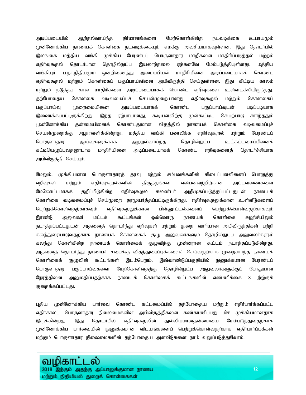அடிப்படையில் ஆற்றல்வாய்ந்த தீர்மானங்களை மேற்கொள்கின்ற நடவடிக்கை உபாயமும் முன்னோக்கிய நாணயக் கொள்கை நடவடிக்கையும் எமக்கு அவசியமாகவுள்ளன. இது தொடர்பில் இலங்கை மத்திய வங்கி முக்கிய பேரண்டப் பொருளாதார மாறிகளை மாதிரிப்படுத்தல் மற்றம் எதிர்வுகூறல் தொடர்பான தொழில்நுட்ப இயலாற்றலை ஏற்கனவே மேம்படுத்தியுள்ளது. மத்திய வங்கியும் ப.நா.நிதியமும் ஒன்றிணைந்து அமைப்பியல் மாதிரியினை அடிப்படையாகக் கொண்ட எதிர்வுகூறல் மற்றும் கொள்கைப் பகுப்பாய்வினை அபிவிருத்தி செய்துள்ளன. இது கிட்டிய காலம் மற்றும் நடுத்தர கால மாதிரிகளை அடிப்படையாகக் கொண்ட எறிவுகளை உள்ளடக்கியிருந்தது. தற்போதைய கொள்கை வடிவமைப்புச் செயன்முறையானது எதிர்வுகூறல் மற்றும் கொள்கைப் பகுப்பாய்வு (முறைமையினை அடிப்படையாகக் கொண்ட பகுப்பாய்வுடன் படிப்படியாக இணைக்கப்பட்டிருக்கிறது. இந்த ஏற்பாடானது, கூடியளவிற்கு முன்கூட்டிய செயற்பாடு சாா்ந்ததும் முன்னோக்கிய தன்மையினைக் கொண்டதுமான விதத்தில் நாணயக் கொள்கை வடிவமைப்புச் செயன்முறைக்கு ஆதரவளிக்கின்றது. மத்திய வங்கி பணவீக்க எதிர்வுகூறல் மற்றும் பேரண்டப் பொருளாதார ஆய்வுகளுக்காக ஆற்றல்வாய்ந்த தொழில்நுட்ப உட்கட்டமைப்பினைக் கட்டியெழுப்புவதனூடாக மாதிரியினை அடிப்படையாகக் கொண்ட எறிவுகளைத் தொடர்ச்சியாக அபிவிருத்தி செய்யும்.

மேலும், முக்கியமான பொருளாதாரத் தரவு மற்றும் சம்பவங்களின் கிடைப்பனவினைப் பொறுத்து எறிவுகள் மற்றும் எதிர்வுகூறல்களின் திருத்தங்கள் என்பனவற்றிற்கான அட்டவணைகளை மேலோட்டமாகக் குறிப்பிடுகின்ற எதிர்வுகூறல் கலண்டர் அறிமுகப்படுத்தப்பட்டதுடன் நாணயக் கொள்கை வடிவமைப்புச் செய்முறை தரமுயர்த்தப்பட்டிருக்கிறது. எதிர்வுகூறலுக்கான உள்ளீடுகளைப் பெற்றுக்கொள்வதற்காகவும் எதிர்வுகூறலுக்கான பின்னூட்டல்களைப் பெற்றுக்கொள்வதற்காகவும் இரண்டு அலுவலர் மட்டக் கூட்டங்கள் ஒவ்வொரு நாணயக் கொள்கை சுழற்சியிலும் நடாத்தப்பட்டதுடன் அதனைத் தொடர்ந்து எறிவுகள் மற்றும் துறை வாரியான அபிவிருத்திகள் பற்றி கலந்துரையாடுவதற்காக நாணயக் கொள்கைக் குழு அலுவலர்களும் தொழில்நுட்ப அலுவலர்களும் கலந்து கொள்கின்ற நாணயக் கொள்கைக் குழுவிற்கு முன்னரான கூட்டம் நடாத்தப்படுகின்றது. அதனைத் தொடர்ந்து நாணயச் சபைக்கு விதந்துரைப்புக்களைச் செய்வதற்காக முறைசார்ந்த நாணயக் கொள்கைக் குழுவின் கூட்டங்கள் இடம்பெறும். இவ்வாண்டுப்பகுதியில் நுணுக்கமான பேரண்டப் பொருளாதார பகுப்பாய்வுகளை மேற்கொள்வதற்கு தொழில்நுட்ப அலுவலர்களுக்குப் போதுமான நேரத்தினை அனுமதிப்பதற்காக நாணயக் கொள்கைக் கூட்டங்களின் எண்ணிக்கை 8 இற்குக் குறைக்கப்பட்டது.

புதிய முன்னோக்கிய பார்வை கொண்ட கட்டமைப்பில் தற்போதைய மற்றும் எதிர்பார்க்கப்பட்ட எதிர்காலப் பொருளாதார நிலைமைகளின் அபிவிருத்திகளை கண்காணிப்பது மிக முக்கியமானதாக இருக்கின்றது. இது தொடர்பில் எதிர்வுகூறலின் துல்லியமானதன்மையை மேம்படுத்துவதற்காக முன்னோக்கிய பார்வையின் நுணுக்கமான விடயங்களைப் பெற்றுக்கொள்வதற்காக எதிர்பார்ப்புக்கள் மற்றும் பொருளாதார நிலைமைகளின் தற்போதைய அளவீடுகளை நாம் வலுப்படுத்துவோம்.

#### வமிகா 2018 அதற்கு அப்பாலுக்குமான நாணய மற்றும் நிதியியல் துறைக் கொள்கைகள்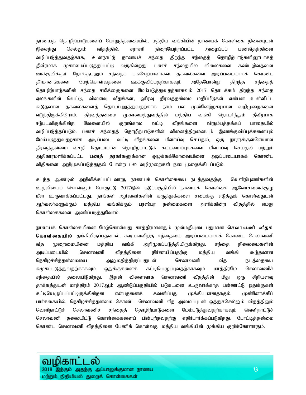நாணயத் தொழிற்பாடுகளைப் பொறுத்தவரையில், மத்திய வங்கியின் நாணயக் கொள்கை நிலையுடன் இசைந்து செல்லும் விதத்தில், சராசரி நிறையேற்றப்பட்ட அழைப்புப் பணவீதத்தினை வழிப்படுத்துவதற்காக, உள்நாட்டு நாணயச் சந்தை திறந்த சந்தைத் தொழிற்பாடுகளினூடாகத் தீவிரமாக முகாமைப்படுத்தப்பட்டு வருகின்றது. பணச் சந்தையில் விலைகளை கண்டறிவதனை ஊக்குவிக்கும் நோக்குடனும் சந்தைப் பங்கேற்பாளர்கள் தகவல்களை அடிப்படையாகக் கொண்ட தீர்மானங்களை மேற்கொள்வதனை ஊக்குவிப்பதற்காகவும் அதேபோன்று திறந்த சந்தைத் தொழிற்பாடுகளின் சந்தை சமிக்ஞைகளை மேம்படுத்துவதற்காகவும் 2017 தொடக்கம் திறந்த சந்தை ஏலங்களின் வெட்டு, விளைவு வீதங்கள், ஓரிரவு திரவத்தன்மை மதிப்பீடுகள் என்பன உள்ளிட்ட கூடுதலான தகவல்களைத் தொடர்புறுத்துவதற்காக நாம் பல முன்னேற்றகரமான வழிமுறைகளை எடுத்திருக்கிறோம். திரவத்தன்மை முகாமைத்துவத்தில் மத்திய வங்கி தொடர்ந்தும் தீவிரமாக ஈடுபடவிருக்கின்ற வேளையில் குறுங்கால வட்டி வீதங்களை விரும்பத்தக்கப் பாதையில் வழிப்படுத்தப்படும். பணச் சந்தைத் தொழிற்பாடுகளின் வினைத்திறனையும் இணங்குவிப்புக்களையும் மேம்படுத்துவதற்காக அடிப்படை வட்டி வீதங்களை மீளாய்வு செய்தல், ஒரு நாளுக்குள்ளேயான திரவத்தன்மை வசதி தொடர்பான தொழிற்பாட்டுக் கட்டமைப்புக்களை மீளாய்வு செய்தல் மற்றும் அதிகாரமளிக்கப்பட்ட பணத் தரகர்களுக்கான ஒழுக்கக்கோவையினை அடிப்படையாகக் கொண்ட விதிகளை அறிமுகப்படுத்துதல் போன்ற பல வழிமுறைகள் நடைமுறைக்கிடப்படும்.

கடந்த ஆண்டில் அறிவிக்கப்பட்டவாறு, நாணயக் கொள்கையை நடத்துவதற்கு வெளிநிபுணர்களின் உதவியைப் கொள்ளும் பொருட்டு 2017இன் நடுப்பகுதியில் நாணயக் கொள்கை ஆலோசனைக்குழு மீள உருவாக்கப்பட்டது. நாங்கள் ஆர்வலர்களின் கருத்துக்களை சபைக்கு எடுத்துக் கொள்வதுடன் ஆர்வலர்களுக்கும் மத்திய வங்கிக்கும் பரஸ்பர நன்மைகளை அளிக்கின்ற விதத்தில் எமது கொள்கைகளை அணிப்படுத்துவோம்.

நாணயக் கொள்கையினை மேற்கொள்வது காத்திரமானதும் முன்மதியுடையதுமான **செலாவணி வீதக்** கொள் கையில் தங்கியிருப்பதனால், கூடியளவிற்கு சந்தையை அடிப்படையாகக் கொண்ட செலாவணி வீத முறைமையினை மத்திய வங்கி அறிமுகப்படுத்தியிருக்கிறது. சந்தை நிலைமைகளின் அடிப்படையில் செலாவணி வீதத்தினை நிர்ணயிப்பதற்கு மத்திய வங்கி கூடுதலான நெகிழ்ச்சித்தன்மையை அனுமதித்திருப்பதுடன் செலாவணி வீத நடத்தையை சுமூகப்படுத்துவதற்காகவும் ஒதுக்குகளைக் கட்டியெழுப்புவதற்காகவும் மாத்திரமே செலாவணிச் சந்தையில் தலையிடுகிறது. இதன் விளைவாக செலாவணி வீதத்தின் மீது ஒரு சிறியளவு தாக்கத்துடன் மாத்திரம் 2017ஆம் ஆண்டுப்பகுதியில் படுகடனை உருவாக்காத பன்னாட்டு ஒதுக்குகள் கட்டியெழுப்பப்பட்டிருக்கின்றன என்பதனைக் கவனிப்பது முக்கியமானதாகும். முன்னோக்கிப் பார்க்கையில், நெகிழ்ச்சித்தன்மை கொண்ட செலாவணி வீத அமைப்புடன் ஒத்துச்செல்லும் விதத்திலும் வெளிநாட்டுச் செலாவணிச் சந்தைத் தொழிற்பாடுகளை மேம்படுத்துவதற்காகவும் வெளிநாட்டுச் செலாவணி தலையிட்டு கொள்கைகளைப் பின்பற்றவதற்கு எதிர்பார்க்கப்படுகிறது. போட்டித்தன்மை கொண்ட செலாவணி வீதத்தினை பேணிக் கொள்வது மத்திய வங்கியின் முக்கிய குறிக்கோளாகும்.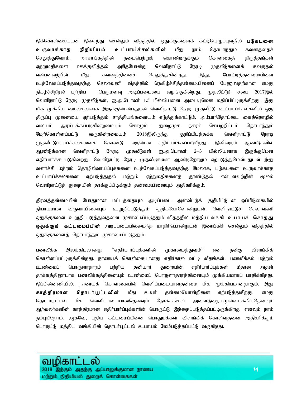இக்கொள்கையுடன் இசைந்து செல்லும் விதத்தில் ஒதுக்குகளைக் கட்டியெழுப்புவதில் **படுகடனை** <mark>உருவாக்காத நிதியியல் உட்பாய்ச்சல்களின்</mark> மீது நாம் தொடர்ந்தும் கவனத்தைச் செலுத்துவோம். அரசாங்கத்தின் நடைபெற்றுக் கொண்டிருக்கும் கொள்கைத் திருத்தங்கள் ஏற்றுமதிகளை ஊக்குவித்தல் அதேபோன்று வெளிநாட்டு நேரடி முதலீடுகளைக் கவருதல் என்பனவற்றின் மீது கவனத்தினைச் செலுத்துகின்றது. இது, போட்டித்தன்மையினை உத்வேகப்படுத்துவதற்கு செலாவணி வீதத்தில் நெகிழ்ச்சித்தன்மையினைப் பேணுவதற்கான எமது நிகழ்ச்சிநிரல் பற்றிய பெருமளவு அடிப்படையை வழங்குகின்றது. முதலீட்டுச் சபை 2017இல் வெளிநாட்டு நேரடி முதலீடுகள், ஐ.அ.டொலர் 1.5 பில்லியனை அடையுமென மதிப்பிட்டிருக்கிறது. இது மிக முக்கிய மைல்கல்லாக இருக்குமென்பதுடன் வெளிநாட்டு நேரடி முதலீட்டு உட்பாய்ச்சல்களில் ஒரு திருப்பு முனையை ஏற்படுத்தும் சாத்தியங்களையும் எடுத்துக்காட்டும். அம்பாந்தோட்டை கைத்தொழில் வலயம் ஆரம்பக்கப்படுகின்றமையும் கொழும்பு துறைமுக நகரச் செயற்றிட்டம் தொடர்ந்தும் மேற்கொள்ளப்பட்டு வருகின்றமையும் 2018இலிருந்து குறிப்பிடத்தக்க வெளிநாட்டு நேரடி முதலீட்டுப்பாய்ச்சல்களைக் கொண்டு வருமென எதிர்பார்க்கப்படுகிறது. இனிவரும் ஆண்டுகளில் ஆண்டுக்கான வெளிநாட்டு நேரடி முதலீடுகள் ஐ.அ.டொலர் 2—3 பில்லியனாக இருக்குமென எதிர்பார்க்கப்படுகின்றது. வெளிநாட்டு நேரடி முதலீடுகளை ஆண்டுதோறும் ஏற்படுத்துமென்பதுடன் இது வளர்ச்சி மற்றும் தொழில்வாய்ப்புக்களை உத்வேகப்படுத்துவதற்கு மேலாக, படுகடனை உருவாக்காத உட்பாய்ச்சல்களை ஏற்படுத்துதல் மற்றும் ஏற்றுமதிகளைத் தூண்டுதல் என்பனவற்றின் மூலம் வெளிநாட்டுத் துறையின் தாக்குப்பிடிக்கும் தன்மையினையும் அதிகரிக்கும்.

திரவத்தன்மையின் போதுமான மட்டத்தையும் அடிப்படை அளவீட்டுக் குறியீட்டுடன் ஒப்பிடுகையில் நியாயமான வருவாயினையும் உறுதிப்படுத்தும் குறிக்கோளொன்றுடன் வெளிநாட்டுச் செலாவணி ஒதுக்குகளை உறுதிப்படுத்துவதனை முகாமைப்படுத்தும் விதத்தில் மத்திய வங்கி **உபாயச் சொத்து ஒதுக்குக் கட்டமைப்பின்** அடிப்படையிலமைந்த மாதிரியொன்றுடன் இணங்கிச் செல்லும் விதத்தில் ஒதுக்குகளைத் தொடர்ந்தும் முகாமைப்படுத்தும்.

பணவீக்க இலக்கிடலானது ''எதிர்பார்ப்புக்களின் முகாமைத்துவம்'' என நன்கு விளங்கிக் கொள்ளப்பட்டிருக்கின்றது. நாணயக் கொள்கையானது எதிர்கால வட்டி வீதங்கள், பணவீக்கம் மற்றும் உண்மைப் பொருளாதாரம் பற்றிய தனியார் துறையின் எதிர்பார்ப்புக்கள் மீதான அதன் தாக்கத்தினூடாக பணவீக்கத்தினையும் உண்மைப் பொருளாதாரத்தினையும் முக்கியமாகப் பாதிக்கிறது. இப்பின்னணியில், நாணயக் கொள்கையில் வெளிப்படையானதன்மை மிக முக்கியமானதாகும். இது **காத்திரமான தொடர்பூட்டலின்** மீது உயர் தன்மையொன்றினை ஏற்படுத்துகிறது. எமது தொடர்பூட்டல் மிக வெளிப்படையானதெனவும் நோக்கங்கள் அனைத்தையுமுள்ளடக்கியதெனவும் ஆர்வலர்களின் காத்திரமான எதிர்பார்ப்புக்களின் பொருட்டு இற்றைப்படுத்தப்பட்டிருக்கிறது எனவும் நாம் நம்புகிறோம். ஆகவே, புதிய கட்டமைப்பினை பொதுமக்கள் விளங்கிக் கொள்வதனை அதிகரிக்கும் பொருட்டு மத்திய வங்கியின் தொடர்பூட்டல் உபாயம் மேம்படுத்தப்பட்டு வருகிறது.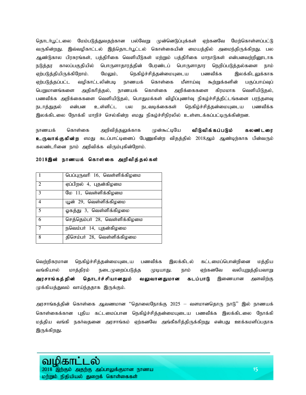தொடர்பூட்டலை மேம்படுத்துவதற்கான பல்வேறு முன்னெடுப்புக்கள் ஏற்கனவே மேற்கொள்ளப்பட்டு வருகின்றது. இவ்வழிகாட்டல் இத்தொடர்பூட்டல் கொள்கையின் மையத்தில் அமைந்திருக்கிறது. பல ஆண்டுகால பிரசுரங்கள், பத்திரிகை வெளியீடுகள் மற்றும் பத்திரிகை மாநாடுகள் என்பனவற்றினூடாக நடுத்தர காலப்பகுதியில் பொருளாதாரத்தின் பேரண்டப் பொருளாதார நெறிப்படுத்தல்களை நாம் ஏற்படுத்தியிருக்கிறோம். மேலும், நெகிழ்ச்சித்தன்மையுடைய பணவீக்க இலக்கிடலுக்காக ஏற்படுத்தப்பட்ட வழிகாட்டலின்படி நாணயக் கொள்கை மீளாய்வு கூற்றுக்களின் பகுப்பாய்வுப் பெறுமானங்களை அதிகரித்தல், நாணயக் கொள்கை அறிக்கைகளை கிரமமாக வெளியிடுதல், பணவீக்க அறிக்கைகளை வெளியிடுதல், பொதுமக்கள் விழிப்புணர்வு நிகழ்ச்சித்திட்டங்களை பரந்தளவு நடாத்துதல் என்பன உள்ளிட்ட பல நடவடிக்கைகள் நெகிழ்ச்சித்தன்மையுடைய பணவீக்க இலக்கிடலை நோக்கி மாறிச் செல்கின்ற எமது நிகழ்ச்சிநிரலில் உள்ளடக்கப்பட்டிருக்கின்றன.

நாணயக் கொள்கை அறிவித்தலுக்காக முன்கூட்டியே **விடுவிக்கப்படும் கலண்டரை** உருவாக்குகின்ற எமது கடப்பாட்டினைப் பேணுகின்ற விதத்தில் 2018ஆம் ஆண்டிற்காக பின்வரும் கலண்டரினை நாம் அறிவிக்க விரும்புகின்றோம்.

#### 2018இன் நாணயக் கொள்கை அறிவித்தல்கள்

|                | பெப்புருவரி 16, வெள்ளிக்கிழமை |
|----------------|-------------------------------|
| $\overline{2}$ | ஏப்பிறல் 4, புதன்கிழமை        |
| $\mathcal{R}$  | மே 11, வெள்ளிக்கிழமை          |
| $\overline{4}$ | யூன் 29, வெள்ளிக்கிழமை        |
| $\overline{5}$ | ஓகத்து 3, வெள்ளிக்கிழமை       |
| 6              | செத்தெம்பர் 28, வெள்ளிக்கிழமை |
| 7              | நவெம்பர் 14, புதன்கிழமை       |
| 8              | திசெம்பர் 28, வெள்ளிக்கிழமை   |

வெற்றிகரமான நெகிழ்ச்சித்தன்மையுடைய பணவீக்க இலக்கிடல் கட்டமைப்பொன்றினை மத்திய வங்கியால் மாத்திரம் நடைமுறைப்படுத்த முடியாது. நாம் ஏற்கனவே வலியுறுத்தியவாறு **அரசாங்கத்தின் தொடர்ச்சியானதும் வலுவானதுமான கடப்பாடு** இணையான அளவிற்கு முக்கியத்துவம் வாய்ந்ததாக இருக்கும்.

அரசாங்கத்தின் கொள்கை ஆவணமான ''தொலைநோக்கு  $2025$  — வளமானதொரு நாடு'' இல் நாணயக் கொள்கைக்கான புதிய கட்டமைப்பான நெகிழ்ச்சித்தன்மையுடைய பணவீக்க இலக்கிடலை நோக்கி மத்திய வங்கி நகர்வதனை அரசாங்கம் ஏற்கனவே அங்கீகரித்திருக்கிறது என்பது ஊக்கமளிப்பதாக இருக்கிறது.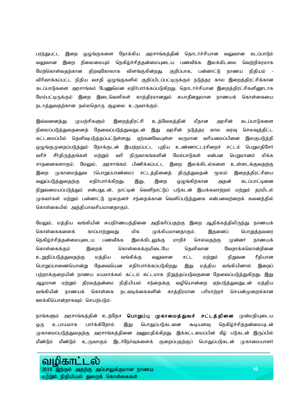பரந்துபட்ட இறை ஒழுங்குகளை நோக்கிய அரசாங்கத்தின் தொடர்ச்சியான வலுவான கடப்பாடும் வலுவான இறை நிலைமையும் நெகிழ்ச்சித்தன்மையுடைய பணவீக்க இலக்கிடலை வெற்றிகரமாக மேற்கொள்வதற்கான திறவுகோலாக விளங்குகின்றது. குறிப்பாக, பன்னாட்டு நாணய நிதியம் -விரிவாக்கப்பட்ட நிதிய வசதி ஒழுங்குகளில் குறிப்பிடப்பட்டிருக்கும் நடுத்தர கால இறைத்திரட்சிக்கான கடப்பாடுகளை அரசாங்கம் பேணுமென எதிர்பார்க்கப்படுகிறது. தொடர்ச்சியான இறைத்திரட்சிகளினூடாக மேம்பட்டிருக்கும் இறை இடைவெளிகள் காத்திரமானதும் சுயாதீனதுமான நாணயக் கொள்கையை நடாத்துவதற்கான நல்லதொரு சூழலை உருவாக்கும்.

இவ்வனைத்து முயற்சிகளும் இறைத்திரட்சி உத்வேகத்தின் மீதான அரசின் கடப்பாடுகளை நிலைப்படுத்துவதனைத் தேவைப்படுத்துவதுடன் இது அரசின் நடுத்தர கால வரவு செலவுத்திட்ட கட்டமைப்பில் தெளிவுபடுத்தப்பட்டுள்ளது. ஏற்கனவேயுள்ள வருமான வரியமைப்பினை இலகுபடுத்தி ஒழுங்குமுறைப்படுத்தும் நோக்குடன் இயற்றப்பட்ட புதிய உண்ணாட்டரசிறைச் சட்டம் பெறுமதிசேர் வரிச் சீர்திருத்தங்கள் மற்றும் வரி நிருவாகங்களின் மேம்பாடுகள் என்பன பெறுமானம் மிக்க சாதனைகளாகும். மேலும், அரசாங்கம் பிணிக்கப்பட்ட இறை இலக்கிடல்களை உள்ளடக்குவதற்கு இறை முகாமைத்துவ (பொறுப்பாண்மை) சட்டத்தினைத் திருத்துவதன் மூலம் இறைத்திரட்சியை வலுப்படுத்துவதற்கு எதிர்பார்க்கிறது. இது, இறை ஒழுங்கிற்கான அதன் கடப்பாட்டினை நிறுவனமயப்படுத்தும் என்பதுடன், நாட்டின் வெளிநாட்டுப் படுகடன் இயக்கவாற்றல் மற்றும் தரமிடல் முகவர்கள் மற்றும் பன்னாட்டு மூலதனச் சந்தைக்கான வெளிப்படுத்துகை என்பனவற்றைக் கவனத்தில் கொள்கையில் அத்தியாவசியமானதாகும்.

மேலும், மத்திய வங்கியின் சுயநிா்ணயத்தினை அதிகாிப்பதற்கு இறை ஆதிக்கத்திலிருந்து நாணயக் கொள்கைகளைக் காப்பாற்றுவது மிக முக்கியமானதாகும். இதனைப் பொறுத்தவரை நெகிழ்ச்சித்தன்மையுடைய பணவீக்க இலக்கிடலுக்கு மாறிச் செல்வதற்கு முன்னர் நாணயக் கொள்கைக்கும் இறைக் கொள்கைக்குமிடையே தெளிவான வேறாக்கலொன்றினை உறுதிப்படுத்துவதற்கு மத்திய வங்கிக்கு வலுவான சட்ட மற்றும் நிறுவன ரீதியான பொறுப்பாணையொன்று தேவையென எதிர்பார்க்கப்படுகிறது. இது மத்திய வங்கியினால் இறைப் பற்றாக்குறையின் நாணய மயமாக்கல் கட்டம் கட்டமாக நிறுத்தப்படுவதனை தேவைப்படுத்துகிறது. இது ஆழமான மற்றும் திரவத்தன்மை நிதியியல் சந்தைக்கு வழியொன்றை ஏற்படுத்துவதுடன் மத்திய வங்கியின் நாணயக் கொள்கை நடவடிக்கைகளின் காத்திரமான பரிமாற்றச் செயன்முறைக்கான ஊக்கியொன்றாகவும் செயற்படும்.

நாங்களும் அரசாங்கத்தின் உத்தேச **பொறுப்பு முகாமைத்துவச் சட்டத்தினை** முன்மதியுடைய ஒரு உபாயமாக பார்க்கிறோம். இது பொதுப்படுகடனை கூடியளவு நெகிழ்ச்சித்தன்மையுடன் முகாமைப்படுத்துவதற்கு அரசாங்கத்தினை அனுமதிக்கிறது. இக்கட்டமைப்பின் கீழ் படுகடன் இருப்பில் மீண்டும் மீண்டும் உருவாகும் இடர்நேர்வுகளைக் குறைப்பதற்குப் பொதுப்படுகடன் முகாமையாளர்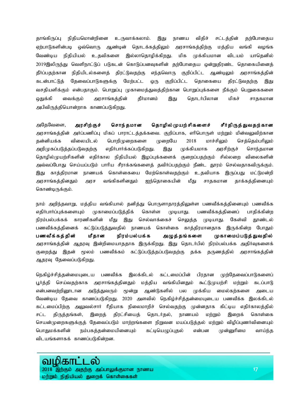தாங்கிருப்பு நிதியமொன்றினை உருவாக்கலாம். இது நாணய விதிச் சட்டத்தின் தற்போதைய ஏற்பாடுகளின்படி ஒவ்வொரு ஆண்டின் தொடக்கத்திலும் அரசாங்கத்திற்கு மத்திய வங்கி வழங்க வேண்டிய நிதியியல் உதவிகளை இல்லாதொழிக்கிறது. மிக முக்கியமான விடயம் யாதெனில் 2019இலிருந்து வெளிநாட்டுப் படுகடன் கொடுப்பனவுகளின் தற்போதைய ஒன்றுதிரண்ட தொகையினைத் தீர்ப்பதற்கான நிதியிடல்களைத் திரட்டுவதற்கு எந்தவொரு குறிப்பிட்ட ஆண்டிலும் அரசாங்கத்தின் கடன்பாட்டுத் தேவைப்பாடுகளுக்கு மேற்பட்ட ஒரு குறிப்பிட்ட தொகையை திரட்டுவதற்கு இது வசதியளிக்கும் என்பதாகும். பொறுப்பு முகாமைத்துவத்திற்கான பொறுப்புக்களை நீக்கும் பெறுகைகளை ஒதுக்கி வைக்கும் அரசாங்கத்தின் தீர்மானம் இது தொடர்பிலான மிகச் சாதகமான அபிவிருத்தியொன்றாக காணப்படுகிறது.

அதேவேளை, அரசிற்குச் சொந்தமான தொழில்முயற்சிகளைச் சீர்திருத்துவதற்கான அரசாங்கத்தின் அர்ப்பணிப்பு மிகப் பாராட்டத்தக்கவை. குறிப்பாக, எரிபொருள் மற்றும் மின்வலுவிற்கான தன்னியக்க விலையிடல் பொறிமுறைகளை முறையே 2018 மாச்சிலும் செத்தெம்பரிலும் அறிமுகப்படுத்தப்படுவதற்கு எதிர்பார்க்கப்படுகிறது. இது முக்கியமாக அரசிற்குச் சொந்தமான தொழில்முயற்சிகளின் எதிர்கால நிதியியல் இழப்புக்களைக் குறைப்பதற்கும் சில்லறை விலைகளின் அவ்வப்போது செய்யப்படும் பாரிய சீராக்கங்களைத் தவிர்ப்பதற்கும் நீண்ட தூரம் செல்வதாகவிருக்கும். இது காத்திரமான நாணயக் கொள்கையை மேற்கொள்வதற்கும் உதவியாக இருப்பது மட்டுமன்றி அரசாங்கத்தினதும் அரச வங்கிகளினதும் ஐந்தொகையின் மீது சாதகமான தாக்கத்தினையும் கொண்டிருக்கும்.

நாம் அறிந்தவாறு, மத்திய வங்கியால் தனித்து பொருளாதாரத்திலுள்ள பணவீக்கத்தினையும் பணவீக்க எதிர்பார்ப்புக்களையும் முகாமைப்படுத்திக் கொள்ள முடியாது. பணவீக்கத்தினைப் பாதிக்கின்ற நிரம்பல்பக்கக் காரணிகளின் மீது இது செல்வாக்கைச் செலுத்த முடியாது. கேள்வி தூண்டல் பணவீக்கத்தினைக் கட்டுப்படுத்துவதில் நாணயக் கொள்கை காத்திரமானதாக இருக்கின்ற போதும் பணவீக்கத்தின் மீதான நிரம்பல்பக்க அழுத்தங்களை முகாமைப்படுத்துவதில் அரசாங்கத்தின் ஆதரவு இன்றிமையாததாக இருக்கிறது. இது தொடர்பில் நிரம்பல்பக்க அதிர்வுகளைக் குறைத்து இதன் மூலம் பணவீக்கம் கட்டுப்படுத்தப்படுவதற்கு தக்க தருணத்தில் அரசாங்கத்தின் ஆதரவு தேவைப்படுகிறது.

நெகிழ்ச்சித்தன்மையுடைய பணவீக்க இலக்கிடல் கட்டமைப்பின் பிரதான முற்தேவைப்பாடுகளைப் பூர்த்தி செய்வதற்காக அரசாங்கத்தினதும் மத்திய வங்கியினதும் கூட்டுமுயற்சி மற்றும் கடப்பாடு என்பனவற்றினூடான அடுத்துவரும் மூன்று ஆண்டுகளில் பல முக்கிய மைல்கற்களை அடைய வேண்டிய தேவை காணப்படுகிறது. 2020 அளவில் நெகிழ்ச்சித்தன்மையுடைய பணவீக்க இலக்கிடல் கட்டமைப்பிற்கு அலுவல்சார் ரீதியாக நிலைமாறிச் செல்வதற்கு முன்னதாக கிட்டிய எதிர்காலத்தில் சட்ட திருத்தங்கள், இறைத் திரட்சியைத் தொடர்தல், நாணயம் மற்றும் இறைக் கொள்கை செயன்முறைகளுக்குத் தேவைப்படும் மாற்றங்களை நிறுவன மயப்படுத்தல் மற்றும் விழிப்புணர்வினையும் பொதுமக்களின் நம்பகத்தன்மையினையும் கட்டியெழுப்புதல் என்பன முன்னுரிமை வாய்ந்த விடயங்களாகக் காணப்படுகின்றன.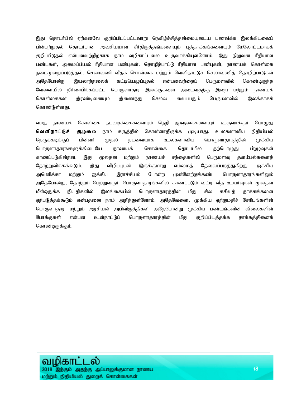இது தொடர்பில் ஏற்கனவே குறிப்பிடப்பட்டவாறு நெகிழ்ச்சித்தன்மையுடைய பணவீக்க இலக்கிடலைப் பின்பற்றுதல் தொடர்பான அவசியமான சீர்திருத்தங்களையும் புத்தாக்கங்களையும் மேலோட்டமாகக் குறிப்பிடுதல் என்பனவற்றிற்காக நாம் வழிகாட்டலை உருவாக்கியுள்ளோம். இது நிறுவன ரீதியான பண்புகள், அமைப்பியல் ரீதியான பண்புகள், தொழிற்பாட்டு ரீதியான பண்புகள், நாணயக் கொள்கை நடைமுுறைப்படுத்தல், செலாவணி வீதக் கொள்கை மற்றும் வெளிநாட்டுச் செலாவணித் தொழிற்பாடுகள் அதேபோன்று இயலாற்றலைக் கட்டியெழுப்புதல் என்பனவற்றைப் பெருமளவில் கொண்டிருந்த வேளையில் நிர்ணயிக்கப்பட்ட பொருளாதார இலக்குகளை அடைவதற்கு இறை மற்றும் நாணயக் கொள்கைகள் இரண்டினையும் இணைந்து செல்ல வைப்பதும் பெருமளவில் இலக்காகக் கொண்டுள்ளது.

எமது நாணயக் கொள்கை நடவடிக்கைகளையும் நெறி ஆளுகைகளையும் உருவாக்கும் பொழுது வெளிநாட்டுச் சூழலை நாம் கருத்தில் கொள்ளாதிருக்க முடியாது. உலகளாவிய நிதியியல் நெருக்கடிக்குப் பின்னர் முதல் தடவையாக உலகளாவிய பொருளாதாரத்தின் முக்கிய பொருளாதாரங்களுக்கிடையே நாணயக் கொள்கை தொடர்பில் தற்பொழுது பிறழ்வுகள் காணப்படுகின்றன. இது மூலதன மற்றும் நாணயச் சந்தைகளில் பெருமளவு தளம்பல்களைத் தோற்றுவிக்கக்கூடும். இது விழிப்புடன் இருக்குமாறு எம்மைத் தேவைப்படுத்துகிறது. ஐக்கிய அமெரிக்கா மற்றும் ஐக்கிய இராச்சியம் போன்ற முன்னேற்றங்கண்ட பொருளாதாரங்களிலும் அதேபோன்று, தோற்றம் பெற்றுவரும் பொருளாதாரங்களில் காணப்படும் வட்டி வீத உயர்வுகள் மூலதன மீள்ஒதுக்க நியதிகளில் இலங்கையின் பொருளாதாரத்தின் மீது சில கசிவுத் தாக்கங்களை ஏற்படுத்தக்கூடும் என்பதனை நாம் அறிந்துள்ளோம். அதேவேளை, முக்கிய ஏற்றுமதிச் சேரிடங்களின் பொருளாதார மற்றும் அரசியல் அபிவிருத்திகள் அதேபோன்று முக்கிய பண்டங்களின் விலைகளின் போக்குகள் என்பன உள்நாட்டுப் பொருளாதாரத்தின் மீது குறிப்பிடத்தக்க தாக்கத்தினைக் கொண்டிருக்கும்.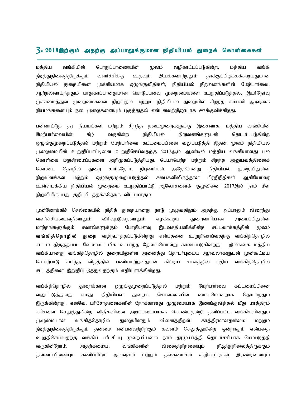## $\overline{3.2018}$ இற்கும் அதற்கு அப்பாலுக்குமான நிதியியல் துறைக் கொள்கைகள்

மத்திய வங்கியின் பொறுப்பாணையின் மூலம் வழிகாட்டப்படுகின்ற, மத்திய வங்கி நீடித்துநிலைத்திருக்கும் வளர்ச்சிக்கு உதவும் இயக்கவாற்றலும் தாக்குப்பிடிக்கக்கூடியதுமான நிதியியல் துறையினை முக்கியமாக ஒழுங்குவிதிகள், நிதியியல் நிறுவனங்களின் மேற்பார்வை, ஆற்றல்வாய்ந்ததும் பாதுகாப்பானதுமான கொடுப்பனவு முறைமைகளை உறுதிப்படுத்தல், இடர்நேர்வு முகாமைத்துவ முறைமைகளை நிறுவுதல் மற்றும் நிதியியல் துறையில் சிறந்த கம்பனி ஆளுகை நியமங்களையும் நடைமுறைகளையும் புகுத்துதல் என்பனவற்றினூடாக ஊக்குவிக்கிறது.

பன்னாட்டுத் தர நியமங்கள் மற்றும் சிறந்த நடைமுறைகளுக்கு இசைவாக, மத்திய வங்கியின் மேற்பார்வையின் கீழ் வருகின்ற நிதியியல் நிறுவனங்களுடன் தொடர்புபடுகின்ற ஒழுங்குமுறைப்படுத்தல் மற்றும் மேற்பார்வை கட்டமைப்பினை வலுப்படுத்தி இதன் மூலம் நிதியியல் முறைமையின் உறுதிப்பாட்டினை உறுதிசெய்வதற்கு 2017ஆம் ஆண்டில் மத்திய வங்கியானது பல கொள்கை மறுசீரமைப்புகளை அறிமுகப்படுத்தியது. பெயர்பெற்ற மற்றும் சிறந்த அனுபவத்தினைக் கொண்ட தொழில் துறை சார்ந்தோர், நிபுணர்கள் அதேபோன்று நிதியியல் துறையிலுள்ள நிறுவனங்கள் மற்றும் ஒழுங்குமுறைப்படுத்தல் சபைகளிலிருந்தான பிரதிநிதிகள் ஆகியோரை உள்ளடக்கிய நிதியியல் முறைமை உறுதிப்பாட்டு ஆலோசனைக் குழுவினை 2017இல் நாம் மீள நிறுவியிருப்பது குறிப்பிடத்தக்கதொரு விடயமாகும்.

முன்னோக்கிச் செல்கையில் நிதித் துறையானது நாடு முழுவதிலும் அதற்கு அப்பாலும் விரைந்து வளர்ச்சியடைவதினாலும் விரிவுபடுவதனாலும் எழக்கூடிய துறைவாரியான அமைப்பிலுள்ள மாற்றங்களுக்கும் சவால்களுக்கும் போதியளவு இடவசதியளிக்கின்ற சட்டவாக்கத்தின் மூலம் **வங்கித்தொழில் துறை** வழிநடாத்தப்படுகின்றது என்பதனை உறுதிசெய்வதற்கு வங்கித்தொழில் சட்டம் திருத்தப்பட வேண்டிய மிக உயர்ந்த தேவையொன்று காணப்படுகின்றது. இலங்கை மத்திய வங்கியானது வங்கித்தொழில் துறையிலுள்ள அனைத்து தொடர்புடைய ஆர்வலர்களுடன் முன்கூட்டிய செயற்பாடு சார்ந்த விதத்தில் பணியாற்றுவதுடன் கிட்டிய காலத்தில் புதிய வங்கித்தொழில் சட்டத்தினை இறுதிப்படுத்துவதற்கும் எதிர்பார்க்கின்றது.

வங்கித்தொழில் துறைக்கான ஒழுங்குமுறைப்படுத்தல் மற்றும் மேற்பார்வை கட்டமைப்பினை வலுப்படுத்துவது எமது நிதியியல் துறைக் கொள்கையின் மையமொன்றாக தொடர்ந்தும் இருக்கின்றது. எனவே, பரிசோதனைகளின் நோக்கானது முழுமையாக இணங்குவித்தல் மீது மாத்திரம் கரிசனை செலுத்துகின்ற விதிகளினை அடிப்படையாகக் கொண்டதன்றி தனிப்பட்ட வங்கிகளினதும் முழுமையான வங்கித்தொழில் துறையினதும் வினைத்திறன், காத்திரமானதன்மை மற்றும் நீடித்துநிலைத்திருக்கும் தன்மை என்பனவற்றிற்கும் கவனம் செலுத்துகின்ற ஒன்றாகும் என்பதை உறுதிசெய்வதற்கு வங்கிப் பரீட்சிப்பு முறையியலை நாம் தரமுயர்த்தி தொடர்ச்சியாக மேம்படுத்தி tUfpd ;Nwhk ;. mjw ;fika> tq ;fpfspd ; tpidj ;jpwidAk ; e Pbj ;Jepiyj ;jpUf ;Fk ; தன்மையினையும் கணிப்பிடும் அளவுசார் மற்றும் தகைமைசார் குறிகாட்டிகள் இரண்டினையும்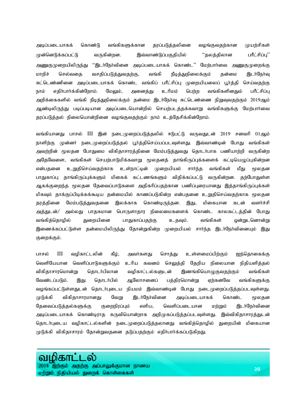அடிப்படையாகக் கொண்டு வங்கிகளுக்கான தரப்படுத்தலினை வழங்குவதற்கான முயற்சிகள் முன்னெடுக்கப்பட்டு வருகின்றன. இவ்வாண்டுப்பகுதியில் "தலத்திலான பரீட்சிப்பு'' அணுகுமுறையிலிருந்து ''இடர்நேர்வினை அடிப்படையாகக் கொண்ட'' மேற்பார்வை அணுகுமுறைக்கு மாறிச் செல்வதை வசதிப்படுத்துவதற்கு, வங்கி நீடித்துநிலைக்கும் தன்மை இடர்நேர்வு சுட்டெண்ணினை அடிப்படையாகக் கொண்ட வங்கிப் பரீட்சிப்பு முறையியலைப் பூர்த்தி செய்வதற்கு நாம் எதிர்பார்க்கின்றோம். மேலும், அனைத்து உரிமம் பெற்ற வங்கிகளினதும் பரீட்சிப்பு அறிக்கைகளில் வங்கி நீடித்துநிலைக்கும் தன்மை இடர்நேர்வு சுட்டெண்ணை நிறுவுவதற்கும் 2019ஆம் ஆண்டிலிருந்து படிப்படியான அடிப்படையொன்றில் செயற்படத்தக்கவாறு வங்கிகளுக்கு மேற்பாா்வை தரப்படுத்தல் நிலையொன்றினை வழங்குவதற்கும் நாம் உத்தேசிக்கின்றோம்.

வங்கியானது பாசல் III இன் நடைமுறைப்படுத்தலில் ஈடுபட்டு வருவதுடன் 2019 சனவரி 01ஆம் நாளிற்கு முன்னர் நடைமுறைப்படுத்தல் பூர்த்திசெய்யப்படவுள்ளது. இவ்வாண்டின் போது வங்கிகள் அவற்றின் மூலதன போதுமை விகிதாசாரத்தினை மேம்படுத்துவது தொடர்பாக பணியாற்றி வருகின்ற அதேவேளை, வங்கிகள் செயற்பாடுமிக்கவாறு மூலதனத் தாங்கிருப்புக்களைக் கட்டியெழுப்புகின்றன என்பதனை உறுதிசெய்வதற்காக உள்நாட்டின் முறையியல் சார்ந்த வங்கிகள் மீது மூலதன பாதுகாப்பு தாங்கிருப்புக்களும் மிகைக் கட்டணங்களும் விதிக்கப்பட்டு வருகின்றன. தற்போதுள்ள ஆகக்குறைந்த மூலதன தேவைப்பாடுகளை அதிகரிப்பதற்கான பணிப்புரையானது இத்தாங்கிருப்புக்கள் மிகவும் தாக்குப்பிடிக்கக்கூடிய தன்மையில் காணப்படுகின்ற என்பதனை உறுதிசெய்வதற்காக மூலதன தரத்தினை மேம்படுத்துவதனை இலக்காக கொண்டிருந்தன. இது, மிகையான கடன் வளர்ச்சி அத்துடன்/ அல்லது பாதகமான பொருளாதார நிலைமைகளைக் கொண்ட காலகட்டத்தின் போது வங்கித்தொழில் துறையினை பாதுகாப்பதற்கு உதவும். வங்கிகள் ஒன்றுடனொன்று இணைக்கப்பட்டுள்ள தன்மையிலிருந்து தோன்றுகின்ற முறையியல் சார்ந்த இடர்நேர்வினையும் இது குறைக்கும்.

பாசல் III வழிகாட்டலின் கீழ், அவர்களது சொத்து உள்ளமைப்பிற்கும் ஐந்தொகைக்கு வெளியேயான வெளிப்பாடுகளுக்கும் உரிய கவனம் செலுத்தி தேறிய நிலையான நிதியளித்தல் விகிதாசாரமொன்று தொடா்பிலான வழிகாட்டல்களுடன் இணங்கியொழுகுவதற்கும் வங்கிகள் வேண்டப்படும். இது தொடர்பில் ஆலோசனைப் பத்திரமொன்று ஏற்கனவே வங்கிகளுக்கு வழங்கப்பட்டுள்ளதுடன் தொடர்புடைய நியமம் இவ்வாண்டின் போது நடைமுறைப்படுத்தப்படவுள்ளது. முடுக்கி விகிதாசாரமானது வேறு இடர்நேர்வினை அடிப்படையாகக் கொண்ட மூலதன தேவைப்படுத்தல்களுக்கு குறைநிரப்பும் எளிய, வெளிப்படையான மற்றும் இடர்நேர்வினை அடிப்படையாகக் கொண்டிராத கருவியொன்றாக அறிமுகப்படுத்தப்படவுள்ளது. இவ்விகிதாசாரத்துடன் தொடா்புடைய வழிகாட்டல்களின் நடைமுறைப்படுத்தலானது வங்கித்தொழில் துறையின் மிகையான முடுக்கி விகிதாசாரம் தோன்றுவதனை தடுப்பதற்கும் எதிர்பார்க்கப்படுகிறது.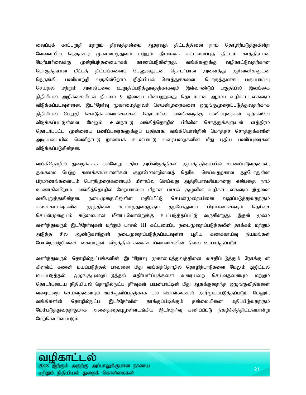வைப்புக் காப்புறுதி மற்றும் திரவத்தன்மை ஆதரவுத் திட்டத்தினை நாம் தொழிற்படுத்துகின்ற வேளையில் நெருக்கடி முகாமைத்துவம் மற்றும் தீர்மானக் கட்டமைப்புத் திட்டம் காத்திரமான மேற்பார்வைக்கு முன்நிபந்தனையாகக் காணப்படுகின்றது. வங்கிகளுக்கு வழிகாட்டுவதற்கான பொருத்தமான மீட்புத் திட்டங்களைப் பேணுவதுடன் தொடர்பான அனைத்து ஆர்வலர்களுடன் நெருங்கிப் பணியாற்றி வருகின்றோம். நிதியியல் சொத்துக்களைப் பொருத்தமாகப் பகுப்பாய்வு செய்தல் மற்றும் அளவிடலை உறுதிப்படுத்துவதற்காகவும் இவ்வாண்டுப் பகுதியில் இலங்கை நிதியியல் அறிக்கையிடல் நியமம் 9 இனைப் பின்பற்றுவது தொடர்பான ஆரம்ப வழிகாட்டல்களும் விடுக்கப்படவுள்ளன. இடர்நேர்வு முகாமைத்துவச் செயன்முறைகளை ஒழுங்குமுறைப்படுத்துவதற்காக நிதியியல் பெறுதி கொடுக்கல்வாங்கல்கள் தொடர்பில் வங்கிகளுக்கு பணிப்புரைகள் ஏற்கனவே விடுக்கப்பட்டுள்ளன. மேலும், உள்நாட்டு வங்கித்தொழில் பிரிவின் சொத்துக்களுடன் மாத்திரம் தொடர்புபட்ட முன்னைய பணிப்புரைகளுக்குப் பதிலாக, வங்கியொன்றின் மொத்தச் சொத்துக்களின் அடிப்படையில் வெளிநாட்டு நாணயக் கடன்பாட்டு வரையறைகளின் மீது புதிய பணிப்புரைகள் விடுக்கப்படுகின்றன.

வங்கிதொழில் துறைக்காக பல்வேறு புதிய அபிவிருத்திகள் ஆயத்தநிலையில் காணப்படுவதனால், தகைமை பெற்ற கணக்காய்வாளர்கள் குழாமொன்றினைத் தெரிவு செய்வதற்கான தற்போதுள்ள பிரமாணங்களையும் பொறிமுறைகளையும் மீளாய்வு செய்வது அத்தியாவசியமானது என்பதை நாம் உணர்கின்றோம். வங்கித்தொழில் மேற்பார்வை மீதான பாசல் குழுவின் வழிகாட்டல்களும் இதனை வலியுறுத்துகின்றன. நடைமுறையிலுள்ள மதிப்பீட்டு செயன்முறையினை வலுப்படுத்துவதற்கும் கணக்காய்வுகளின் தரத்தினை உயர்த்துவதற்கும் தற்போதுள்ள பிரமாணங்களும் தெரிவுச் செயன்முறையும் கடுமையான மீளாய்வொன்றுக்கு உட்படுத்தப்பட்டு வருகின்றது. இதன் மூலம் வளர்ந்துவரும் இடர்நேர்வுகள் மற்றும் பாசல் III கட்டமைப்பு நடைமுறைப்படுத்தலின் தாக்கம் மற்றும் அடுத்த சில ஆண்டுகளினுள் நடைமுறைப்படுத்தப்படவுள்ள புதிய கணக்காய்வு நியமங்கள் போன்றவற்றினைக் கையாளும் விதத்தில் கணக்காய்வாளர்களின் நிலை உயர்த்தப்படும்.

வளா்ந்துவரும் தொழில்நுட்பங்களின் இடா்நோவு முகாமைத்துவத்தினை வசதிப்படுத்தும் நோக்குடன் கிளவ்ட் கணனி மயப்படுத்தல் பாவனை மீது வங்கித்தொழில் தொழிற்பாடுகளை மேலும் டிஜிட்டல் மயப்படுத்தல், ஒழுங்குமுறைப்படுத்தல் எதிா்பாா்ப்புக்களை வரையறை செய்வதனையும் மற்றும் தொடா்புடைய நிதியியல் தொழில்நுட்ப தீா்வுகள் பயன்பாட்டின் மீது ஆகக்குறைந்த ஒழுங்குவிதிகளை வரையறை செய்வதனையும் ஊக்குவிப்பதற்காக பல கொள்கைகள் அறிமுகப்படுத்தப்படும். மேலும், வங்கிகளின் தொழில்நுட்ப இடர்நேர்வின் தாக்குப்பிடிக்கும் தன்மையினை மதிப்பிடுவதற்கும் மேம்படுத்துவதற்குமாக அனைத்தையுமுள்ளடங்கிய இடா்நோவு கணிப்பீட்டு நிகழ்ச்சித்திட்டமொன்று மேற்கொள்ளப்படும்.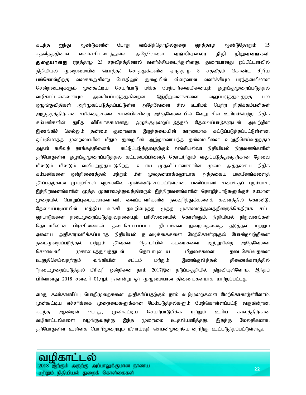கடந்த ஐந்து ஆண்டுகளின் போது வங்கித்தொழில்துறை ஏறத்தாழ ஆண்டுதோறும் 15 சதவீதத்தினால் வளர்ச்சியடைந்துள்ள அதேவேளை, **வங்கியல்லா நிதி நிறுவனங்கள் துறையானது** ஏறத்தாழ 23 சதவீதத்தினால் வளர்ச்சியடைந்துள்ளது. துறையானது ஒப்பீட்டளவில் நிதியியல் முறைமையின் மொத்தச் சொத்துக்களின் ஏறத்தாழ 8 சதவீதம் கொண்ட சிறிய பங்கொன்றிற்கு வகைகூறுகின்ற போதிலும் துறையின் விரைவான வளர்ச்சியும் பரந்தளவிலான சென்றடைவுகளும் முன்கூட்டிய செயற்பாடு மிக்க மேற்பார்வையினையும் ஒழுங்குமுறைப்படுத்தல் வழிகாட்டல்களையும் அவசியப்படுத்துகின்றன. இந்நிறுவனங்களை வலுப்படுத்துவதற்கு பல ஒழுங்குவிதிகள் அறிமுகப்படுத்தப்பட்டுள்ள அதேவேளை சில உரிமம் பெற்ற நிதிக்கம்பனிகள் அழுத்தத்திற்கான சமிக்ஞைகளை காண்பிக்கின்ற அதேவேளையில் வேறு சில உரிமம்பெற்ற நிதிக் கம்பனிகளின் துரித விரிவாக்கமானது ஒழுங்குமுறைப்படுத்தல் தேவைப்பாடுகளுடன் அவற்றின் இணங்கிச் செல்லும் தன்மை குறைவாக இருந்தமையின் காரணமாக கட்டுப்படுத்தப்பட்டுள்ளன. ஒட்டுமொத்த முறைமையின் மீதும் துறையின் ஆற்றல்வாய்ந்த தன்மையினை உறுதிசெய்வதற்கும் அதன் கசிவுத் தாக்கத்தினைக் கட்டுப்படுத்துவதற்கும் வங்கியல்லா நிதியியல் நிறுவனங்களின் தற்போதுள்ள ஒழுங்குமுறைப்படுத்தல் கட்டமைப்பினைத் தொடர்ந்தும் வலுப்படுத்துவதற்கான தேவை மீண்டும் மீண்டும் வலியுறுத்தப்படுகிறது. உபாய முதலீட்டாளர்களின் மூலம் அத்தகைய நிதிக் கம்பனிகளை ஒன்றிணைத்தல் மற்றும் மீள் மூலதனமாக்கலூடாக அத்தகைய பலயீனங்களைத் தீர்ப்பதற்கான முயற்சிகள் ஏற்கனவே முன்னெடுக்கப்பட்டுள்ளன. பணிப்பாளர் சபைக்குப் புறம்பாக, இந்நிறுவனங்களின் மூத்த முகாமைத்துவத்தினரும் இந்நிறுவனங்களின் தொழிற்பாடுகளுக்குச் சமமான முறையில் பொறுப்புடையவர்களாவர். வைப்பாளர்களின் நலவுரித்துக்களைக் கவனத்தில் கொண்டு, தேவைப்படுமாயின், மத்திய வங்கி தவறிழைத்த மூத்த முகாமைத்துவத்தினருக்கெதிராக சட்ட ஏற்பாடுகளை நடைமுறைப்படுத்துவதனையும் பரிசீலனையில் கொள்ளும். நிதியியல் நிறுவனங்கள் தொடர்பிலான பிரச்சினைகள், தடைசெய்யப்பட்ட திட்டங்கள் நுழைவதனைத் தடுத்தல் மற்றும் ஏனைய அதிகாரமளிக்கப்படாத நிதியியல் நடவடிக்கைகளை மேற்கொள்ளுதல் போன்றவற்றினை நடைமுறைப்படுத்தல் மற்றும் தீா்வுகள் தொடா்பில் கடமைகளை ஆற்றுகின்ற அதேவேளை செலாவணி முகாமைத்துவத்துடன் தொடர்புடைய மீறுகைகளை தடைசெய்வதனை உறுதிசெய்வதற்கும் வங்கியின் சட்டம் மற்றும் இணங்குவித்தல் திணைக்களத்தில் ''நடைமுறைப்படுத்தல் பிரிவு'' ஒன்றினை நாம் 2017இன் நடுப்பகுதியில் நிறுவியுள்ளோம். இந்தப் பிரிவானது 2018 சனவரி 01ஆம் நாளன்று ஓர் முழுமையான திணைக்களமாக மாற்றப்பட்டது.

எமது கண்காணிப்பு பொறிமுறைகளை அதிகரிப்பதற்கும் நாம் வழிமுறைகளை மேற்கொண்டுள்ளோம். முன்கூட்டிய எச்சரிக்கை முறைமைகளுக்கான மேம்படுத்தல்களும் மேற்கொள்ளப்பட்டு வருகின்றன. கடந்த ஆண்டின் போது, முன்கூட்டிய செயற்பாடுமிக்க மற்றும் உரிய காலத்திற்கான வழிகாட்டல்களை வழங்குவதற்கு இந்த முறைமை உதவியளித்தது. இதற்கு மேலதிகமாக, தற்போதுள்ள உள்ளக பொறிமுறையும் மீளாய்வுச் செயன்முறையொன்றிற்கு உட்படுத்தப்பட்டுள்ளது.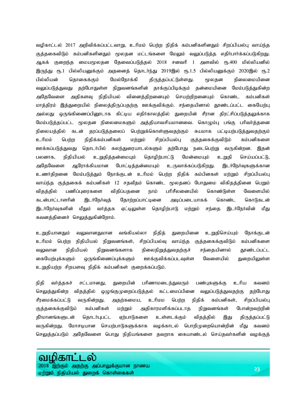வழிகாட்டல் 2017 அறிவிக்கப்பட்டவாறு, உரிமம் பெற்ற நிதிக் கம்பனிகளினதும் சிறப்பியல்பு வாய்ந்த குத்தகைவிடும் கம்பனிகளினதும் மூலதன மட்டங்களை மேலும் வலுப்படுத்த எதிா்பாா்க்கப்படுகிறது. ஆகக் குறைந்த மையமூலதன தேவைப்படுத்தல் 2018 சனவரி 1 அளவில் ரூ.400 மில்லியனில் இருந்து ரூ.1 பில்லியனுக்கும் அதனைத் தொடர்ந்து 2019இல் ரூ.1.5 பில்லியனுக்கும் 2020இல் ரூ.2 பில்லியன் தொகைக்கும் மேல்நோக்கி திருத்தப்பட்டுள்ளது. மூலதன நிலைமையினை வலுப்படுத்துவது தற்போதுள்ள நிறுவனங்களின் தாக்குப்பிடிக்கும் தன்மையினை மேம்படுத்துகின்ற அதேவேளை அதிகளவு நிதியியல் வினைத்திறனையும் செயற்றிறனையும் கொண்ட கம்பனிகள் மாத்திரம் இத்துறையில் நிலைத்திருப்பதற்கு ஊக்குவிக்கும். சந்தையினால் தூண்டப்பட்ட கையேற்பு அல்லது ஒருங்கிணைப்பினூடாக கிட்டிய எதிர்காலத்தில் துறையின் சீரான திரட்சிப்படுத்தலுக்காக மேம்படுத்தப்பட்ட மூலதன நிலைமைகளும் அத்தியாவசியமானவை. கொழும்பு பங்கு பரிவா்த்தனை நிலையத்தில் கடன் தரப்படுத்தலைப் பெற்றுக்கொள்ளுவதற்கும் சுயமாக பட்டியற்படுத்துவதற்கும் உரிமம் பெற்ற நிதிக்கம்பனிகள் மற்றும் சிறப்பியல்பு குத்தகைக்குவிடும் கம்பனிகளை ஊக்கப்படுத்துவது தொடர்பில் கலந்துரையாடல்களும் தற்போது நடைபெற்று வருகின்றன. இதன் பலனாக, நிதியியல் உறுதித்தன்மையும் தொழிற்பாட்டு மேன்மையும் உறுதி செய்யப்பட்டு, அதேவேளை ஆரோக்கியமான போட்டித்தன்மையும் உருவாக்கப்படுகிறது. இடர்நேர்வுகளுக்கான உணர்திறனை மேம்படுத்தும் நோக்குடன் உரிமம் பெற்ற நிதிக் கம்பினகள் மற்றும் சிறப்பியல்பு வாய்ந்த குத்தகைக் கம்பனிகள் 12 சதவீதம் கொண்ட மூலதனப் போதுமை விகிதத்தினை பெறும் விதத்தில் பணிப்புரைகளை விதிப்பதனை நாம் பரிசீலனையில் கொண்டுள்ள வேளையில் கடன்பாட்டாளரின் இடர்நேர்வுத் தோற்றப்பாட்டினை அடிப்படையாகக் கொண்ட கொடுகடன் இடர்நேர்வுகளின் மீதும் வர்த்தக ஏட்டிலுள்ள தொழிற்பாடு மற்றும் சந்தை இடர்நேர்வின் மீது கவனத்தினைச் செலுத்துகின்றோம்.

உறுதியானதும் வலுவானதுமான வங்கியல்லா நிதித் துறையினை உறுதிசெய்யும் நோக்குடன் உரிமம் பெற்ற நிதியியல் நிறுவனங்கள், சிறப்பியல்வு வாய்ந்த குத்தகைக்குவிடும் கம்பனிகளை வலுவான நிதியியல் நிறுவனங்களாக நிலைநிறுத்துவதற்குச் சந்தையினால் தூண்டப்பட்ட கையேற்புக்களும் ஒருங்கிணைப்புக்களும் ஊக்குவிக்கப்படவுள்ள வேளையில் துறையிலுள்ள உறுதியற்ற சிறயளவு நிதிக் கம்பனிகள் குறைக்கப்படும்.

நிதி வர்த்தகச் சட்டமானது, துறையின் பரிணாமடைந்துவரும் பண்புகளுக்கு உரிய கவனம் செலுத்துகின்ற விதத்தில் ஒழுங்குமுறைப்படுத்தல் கட்டமைப்பினை வலுப்படுத்துவதற்கு தற்போது சீரமைக்கப்பட்டு வருகின்றது. அதற்கமைய, உரிமம பெற்ற நிதிக் கம்பனிகள், சிறப்பியல்பு குத்தகைக்குவிடும் கம்பனிகள் மற்றும் அதிகாரமளிக்கப்படாத நிறுவனங்கள் போன்றவற்றின் தீா்மானங்களுடன் தொடா்புபட்ட ஏற்பாடுகளை உள்ளடக்கும் விதத்தில் இது திருத்தப்பட்டு வருகின்றது. மோசடியான செயற்பாடுகளுக்காக வழக்காடல் பொறிமுறையொன்றின் மீது கவனம் செலுத்தப்படும் அதேவேளை பொது நிதியங்களை தவறாக கையாண்டல் செய்தவா்களின் வழக்குத்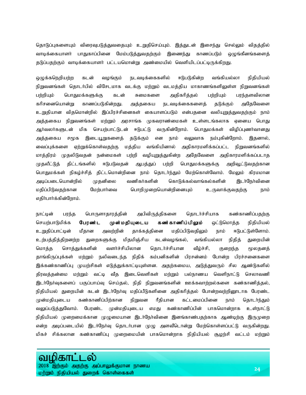தொடுப்புகளையும் விரைவுபடுத்துவதையும் உறுதிசெய்யும். இத்துடன் இசைந்து செல்லும் விதத்தில் வாடிக்கையாளா் பாதுகாப்பினை மேம்படுத்துவதற்கும் இணைந்து காணப்படும் ஒழுங்கீனங்களைத் தடுப்பதற்கும் வாடிக்கையாளா் பட்டயமொன்று அண்மையில் வெளியிடப்பட்டிருக்கிறது.

ஒழுக்கநெறியற்ற கடன் வழங்கும் நடவடிக்கைகளில் ஈடுபடுகின்ற வங்கியல்லா நிதியியல் நிறுவனங்கள் தொடர்பில் விசேடமாக வடக்கு மற்றும் வடமத்திய மாகாணங்களிலுள்ள நிறுவனங்கள் பற்றியும் பொதுமக்களுக்கு கடன் சுமைகளை அதிகரித்தல் பற்றியும் பரந்தளவிலான கரிசனையொன்று காணப்படுகின்றது. அத்தகைய நடவடிக்கைகளைத் தடுக்கும் அதேவேளை உறுதியான விதமொன்றில் இப்பிரச்சினைகள் கையாளப்படும் என்பதனை வலியுறுத்துவதற்கும் நாம் அத்தகைய நிறுவனங்கள் மற்றும் அரசாங்க முகவராண்மைகள் உள்ளடங்கலாக ஏனைய பொது ஆர்வலர்களுடன் மிக செயற்பாட்டுடன் ஈடுபட்டு வருகின்றோம். பொதுமக்கள் விழிப்புணர்வானது அத்தகைய சமூக இடையூறுகளைத் தடுக்கும் என நாம் வலுவாக நம்புகின்றோம். இதனால், வைப்புக்களை ஏற்றுக்கொள்வதற்கு மத்திய வங்கியினால் அதிகாரமளிக்கப்பட்ட நிறுவனங்களில் மாத்திரம் முதலிடுவதன் நன்மைகள் பற்றி வழியுறுத்துகின்ற அதேவேளை அதிகாரமளிக்கப்படாத முதலீட்டுத் திட்டங்களில் ஈடுபடுவதன் ஆபத்துப் பற்றி பொதுமக்களுக்கு அறிவூட்டுவதற்கான பொதுமக்கள் நிகழ்ச்சித் திட்டமொன்றினை நாம் தொடா்ந்தும் மேற்கொள்வோம். மேலும் கிரமமான அடிப்படையொன்றில் முதனிலை வணிகர்களின் கொடுக்கல்வாங்கல்களின் இடர்நேர்வினை மதிப்பிடுவதற்கான மேற்பார்வை பொறிமுறையொன்றினையும் உருவாக்குவதற்கு நாம் எதிர்பார்க்கின்றோம்.

நாட்டின் பரந்த பொருளாதாரத்தின் அபிவிருத்திகளை தொடர்ச்சியாக கண்காணிப்பதற்கு செயற்பாடுமிக்க **பேரண்ட முன்மதியுடைய கண்காணிப்பிலும்** ஒட்டுமொத்த நிதியியல் உறுதிப்பாட்டின் மீதான அவற்றின் தாக்கத்தினை மதிப்பிடுவதிலும் நாம் ஈடுபட்டுள்ளோம். உற்பத்தித்திறனற்ற துறைகளுக்கு மிதமிஞ்சிய கடன்வழங்கல், வங்கியல்லா நிதித் துறையின் மொத்த சொத்துக்களின் வளர்ச்சியிலான தொடர்ச்சியான வீழ்ச்சி, குறைந்த மூலதனத் தாங்கிருப்புக்கள் மற்றும் நலிவடைந்த நிதிக் கம்பனிகளின் பிரசன்னம் போன்ற பிரச்சனைகளை இக்கண்காணிப்பு முயற்சிகள் எடுத்துக்காட்டியுள்ளன. அதற்கமைய, அடுத்துவரும் சில ஆண்டுகளில் திரவத்தன்மை மற்றும் வட்டி வீத இடைவெளிகள் மற்றும் பல்நாணய வெளிநாட்டு செலாவணி இடர்நேர்வுகளைப் பகுப்பாய்வு செய்தல், நிதி நிறுவனங்களின் ஊக்கவாற்றல்களை கண்காணித்தல், நிதியியல் துறையின் கடன் இடா்நோ்வு மதிப்பீடுகளினை அதிகரித்தல் போன்றவற்றினூடாக பேரண்ட முன்மதியுடைய கண்காணிப்பிற்கான நிறுவன ரீதியான கட்டமைப்பினை நாம் தொடா்ந்தும் வலுப்படுத்துவோம். பேரண்ட முன்மதியுடைய எமது கண்காணிப்பின் பாகமொன்றாக உள்நாட்டு நிதியியல் முறைமைக்கான முழுமையான இடர்நேர்வினை இனங்காண்பதற்காக ஆண்டிற்கு இருமுறை என்ற அடிப்படையில் இடர்நேர்வு தொடர்பான முழு அளவீடொன்று மேற்கொள்ளப்பட்டு வருகின்றது. மிகச் சிக்கலான கண்காணிப்பு முறைமையின் பாகமொன்றாக நிதியியல் சூழற்சி வட்டம் மற்றும்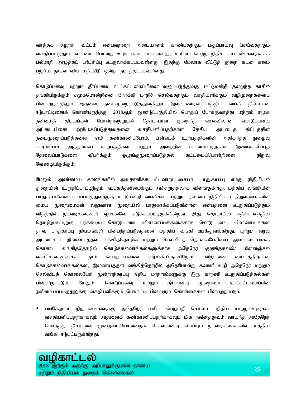வர்த்தக சுழற்சி வட்டம் என்பவற்றை அடையாளம் காண்பதற்கும் பகுப்பாய்வு செய்வதற்கும் வசதிப்படுத்தும் கட்டமைப்பொன்று உருவாக்கப்படவுள்ளது, உரிமம் பெற்ற நிதிக் கம்பனிக்களுக்காக பல்மாறி அழுத்தப் பரீட்சிப்பு உருவாக்கப்படவுள்ளது. இதற்கு மேலாக வீட்டுத் துறை கடன் சுமை பற்றிய நாடளாவிய மதிப்பீடு ஒன்று நடாத்தப்படவுள்ளது.

கொடுப்பனவு மற்றும் தீர்ப்பனவு உட்கட்டமைப்பினை வலுப்படுத்துவது மட்டுமன்றி குறைந்த காசில் தங்கியிருக்கும் சமூகமொன்றினை நோக்கி மாறிச் செல்வதற்கும் வசதியளிக்கும் வழிமுறைகளைப் பின்பற்றுவதிலும் அதனை நடைமுறைப்படுத்துவதிலும் இவ்வாண்டில் மத்திய வங்கி தீவிரமான ஈடுபாட்டினைக் கொண்டிருந்தது. 2018ஆம் ஆண்டுப்பகுதியில் பொதுப் போக்குவரத்து மற்றும் சமூக நன்மைத் திட்டங்கள் போன்றவற்றுடன் தொடர்பான குறைந்த செலவிலான கொடுப்பனவு அட்டையினை அறிமுகப்படுத்துவதனை வசதியளிப்பதற்கான தேசிய அட்டைத் திட்டத்தின் நடைமுறைப்படுத்தலை நாம் கண்காணிப்போம். பின்டெக் உற்பத்திகளின் அதிகரித்த நுழைவு காரணமாக அத்தகைய உற்பத்திகள் மற்றும் அவற்றின் பயன்பாட்டிற்கான இணங்குவிப்புத் தேவைப்பாடுகளை விபரிக்கும் ஒழுங்குமுறைப்படுத்தல் கட்டமைப்பொன்றினை நிறுவ வேண்டியிருக்கும்.

மேலும், அண்மைய காலங்களில் அவதானிக்கப்பட்டவாறு **சைபர் பாதுகாப்பு** எமது நிதியியல் துறையின் உறுதிப்பாட்டிற்கும் நம்பகத்தன்மைக்கும் அச்சுறுத்தலாக விளங்குகிறது. மத்திய வங்கியின் பாதுகாப்பினை பலப்படுத்துவதற்கு மட்டுமன்றி வங்கிகள் மற்றும் ஏனைய நிதியியல் நிறுவனங்களின் மைய முறைமைகள் வலுவான முறையில் பாதுகாக்கப்படுகின்றன என்பதனை உறுதிப்படுத்தும் விதத்தில் நடவடிக்கைகள் ஏற்கனவே எடுக்கப்பட்டிருக்கின்றன. இது தொடர்பில் எதிர்காலத்தில் தொழிற்பாட்டிற்கு வரக்கூடிய கொடுப்பனவு விண்ணப்பங்களுக்காக கொடுப்பனவு விண்ணப்பங்கள் தரவு பாதுகாப்பு நியமங்கள் பின்பற்றப்படுவதனை மத்திய வங்கி ஊக்குவிக்கிறது. பற்று/ வரவு அட்டைகள், இணையத்தள வங்கித்தொழில் மற்றும் செல்லிடத் தொலைபேசியை அடிப்படையாகக் கொண்ட வங்கித்தொழில் கொடுக்கல்வாங்கல்களுக்காக அதேநேர குறுங்தகவல்/ மின்னஞ்சல் எச்சரிக்கைகளுக்கு நாம் பொறுப்பாணை வழங்கியிருக்கிறோம். விற்பனை மையத்திற்கான கொடுக்கல்வாங்கல்கள், இணையத்தள வங்கித்தொழில் அதேபோன்று கணனி வழி அதேநேர மற்றும் செல்லிடத் தொலைபேசி மூன்றாந்தரப்பு நிதிய மாற்றல்களுக்கு இரு காரணி உறுதிப்படுத்தல்கள் பின்பற்றப்படும். மேலும், கொடுப்பனவு மற்றும் தீர்ப்பனவு முறைமை உட்கட்டமைப்பின் நவீனமயப்படுத்தலுக்கு வசதியளிக்கும் பொருட்டு பின்வரும் கொள்கைகள் பின்பற்றப்படும்.

பங்கேற்கும் நிறுவனங்களுக்கு அதேநேர பாரிய பெறுமதி கொண்ட நிதிய மாற்றல்களுக்கு வசதியளிப்பதற்காகவும் அதனைக் கண்காணிப்பதற்காகவும் மிக நவீனத்துவம் வாய்ந்த அதேநேர மொத்தத் தீர்ப்பனவு முறைமையொன்றைக் கொள்வனவு செய்யும் நடவடிக்கைகளில் மத்திய வங்கி ஈடுபட்டிருக்கிறது.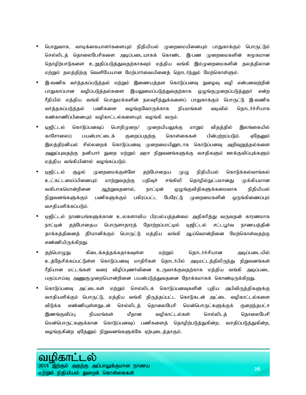- பொதுவாக, வாடிக்கையாளர்களையும் நிதியியல் முறைமையினையும் பாதுகாக்கும் பொருட்டும் செல்லிடத் தொலைபேசிகளை அடிப்படையாகக் கொண்ட இ-பண முறைமைகளின் சுமூகமான தொழிற்பாடுகளை உறுதிப்படுத்துவதற்காகவும் மத்திய வங்கி இம்முறைமைகளின் தலத்திலான மற்றும் தலத்திற்கு வெளியேயான மேற்பார்வையினைத் தொடர்ந்தும் மேற்கொள்ளும்.
- இ-வணிக வர்த்தகப்படுத்தல் மற்றும் இணையத்தள கொடுப்பனவு நுழைவு வழி என்பனவற்றின் பாதுகாப்பான வழிப்படுத்தல்களை இயலுமைப்படுத்துவதற்காக ஒழுங்குமுறைப்படுத்துநா் என்ற ரீதியில் மத்திய வங்கி பொதுமக்களின் நலவுரித்துக்களைப் பாதுகாக்கும் பொருட்டு இ-வணிக வர்த்தகப்படுத்தல் பணிகளை வழங்குவோருக்காக நியமங்கள் வடிவில் தொடர்ச்சியாக கண்காணிப்பினையும் வழிகாட்டல்களையும் வழங்கி வரும்.
- டிஜிட்டல் கொடுப்பனவுப் பொறிமுறை/ முறையியலுக்கு மாறும் விதத்தில் இலங்கையில் காசோலைப் பயன்பாட்டைக் குறைப்பதற்கு கொள்கைகள் பின்பற்றப்படும். ஏதேனும் இலத்திரனியல் சில்லறைக் கொடுப்பனவு முறைமையினூடாக கொடுப்பனவு அறிவுறுத்தல்களை அனுப்புவதற்கு தனியார் துறை மற்றும் அரச நிறுவனங்களுக்கு வசதிகளும் ஊக்குவிப்புக்களும் மத்திய வங்கியினால் வழங்கப்படும்.
- டிஜிட்டல் சூழல் முறைமைக்குள்ளே தற்போதைய முழு நிதியியல் கொடுக்கல்வாங்கல் உட்கட்டமைப்பினையும் மாற்றுவதற்கு பதிவுச் சங்கிலி தொழில்நுட்பமானது முக்கியமான வகிபாகமொன்றினை ஆற்றுவதனால், நாட்டின் ஒழுங்குவிதிகளுக்கமைவாக நிதியியல் நிறுவனங்களுக்கும் பணிகளுக்கும் பகிரப்பட்ட பேரேட்டு முறைமைகளின் ஒருங்கிணைப்பும் வசதியளிக்கப்படும்.
- டிஜிட்டல் நாணயங்களுக்கான உலகளாவிய பிரபல்யத்தன்மை அதிகரித்து வருவதன் காரணமாக நாட்டின் தற்போதைய பொருளாதாரத் தோற்றப்பாட்டில் டிஜிட்டல் சட்டபூர்வ நாணயத்தின் தாக்கத்தினைத் தீர்மானிக்கும் பொருட்டு மத்திய வங்கி ஆய்வொன்றினை மேற்கொள்வதற்கு எண்ணியிருக்கிறது.
- தற்பொழுது கிடைக்கத்தக்கதாகவுள்ள மற்றும் தொடர்ச்சியான அடிப்படையில் உத்தேசிக்கப்பட்டுள்ள கொடுப்பனவு மாதிரிகள் தொடர்பில் அடிமட்டத்திலிருந்து நிறுவனங்கள் ரீதியான மட்டங்கள் வரை விழிப்புணர்வினை உருவாக்குவதற்காக மத்திய வங்கி அடிப்படை பகுப்பாய்வு அணுகுமுறையொன்றினை பயன்படுத்துவதனை நோக்கமாகக் கொண்டிருக்கிறது.
- கொடுப்பனவு அட்டைகள் மற்றும் செல்லிடக் கொடுப்பனவுகளின் புதிய அபிவிருத்திகளுக்கு வசதியளிக்கும் பொருட்டு, மத்திய வங்கி திருத்தப்பட்ட கொடுகடன் அட்டை வழிகாட்டல்களை விடுக்க எண்ணியுள்ளதுடன் செல்லிடத் தொலைபேசி மென்பொருட்களுக்குக் குறைந்தபட்ச இணங்குவிப்பு நியமங்கள் மீதான வழிகாட்டல்கள் செல்லிடத் தொலைபேசி மென்பொருட்களுக்கான கொடுப்பனவுப் பணிகளைத் தொழிற்படுத்துகின்ற, வசதிப்படுத்துகின்ற, வழங்குகின்ற ஏதேனும் நிறுவனங்களுக்கே ஏற்புடைத்தாகும்.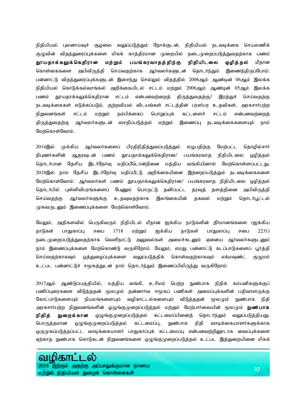நிதியியல் புலனாய்வுச் சூழலை வலுப்படுத்தும் நோக்குடன், நிதியியல் நடவடிக்கை செயலணிக் குழுவின் விதந்துரைப்புக்களை மிகக் காத்திரமான முறையில் நடைமுறைப்படுத்துவதற்காக பணம் தூயதாக்கலுக்கெதிரான மற்றும் பயங்கரவாதத்திற்கு நிதியிடலை ஒழித்தல் மீதான கொள்கைகளை அபிவிருத்தி செய்வதற்காக ஆர்வலர்களுடன் தொடர்ந்தும் இணைந்திருப்போம். பன்னாட்டு விதந்துரைப்புக்களுடன் இசைந்து செல்லும் விதத்தில் 2006ஆம் ஆண்டின் 06ஆம் இலக்க நிதியியல் கொடுக்கல்வாங்கல் அறிக்கையிடல் சட்டம் மற்றும் 2006ஆம் ஆண்டின் 05ஆம் இலக்க பணம் தூயதாக்கலுக்கெதிரான சட்டம் என்பனவற்றைத் திருத்துவதற்கு/ இரத்துச் செய்வதற்கு நடவடிக்கைகள் எடுக்கப்படும். குற்றவியல் விடயங்கள் சட்டத்தின் பரஸ்பர உதவிகள், அரசுசார்பற்ற நிறுவனங்கள் சட்டம் மற்றும் நம்பிக்கைப் பொறுப்புக் கட்டளைச் சட்டம் என்பனவற்றைத் திருத்துவதற்கு ஆர்வலர்களுடன் வசதிப்படுத்தல் மற்றும் இணைப்பு நடவடிக்கைகளையும் நாம் மேற்கொள்வோம்.

2014இல் முக்கிய ஆர்வலர்களைப் பிரதிநிதித்துவப்படுத்தும் எழுபதிற்கு மேற்பட்ட தொழில்சார் நிபுணர்களின் ஆதரவுடன் பணம் தூயதாக்கலுக்கெதிரான/ பயங்கரவாத நிதியிடலை ஒழித்தல் தொடர்பான தேசிய இடர்நேர்வு மதிப்பீடொன்றினை மத்திய வங்கியினால் மேற்கொள்ளப்பட்டது. 2018இல் நாம் தேசிய இடர்நேர்வு மதிப்பீட்டு அறிக்கையினை இற்றைப்படுத்தும் நடவடிக்கைகளை மேற்கொள்வோம். ஆர்வலர்கள் பணம் தூயதாக்கலுக்கெதிரான/ பயங்கரவாத நிதியிடலை ஒழித்தல் தொடர்பில் புள்ளிவிபரங்களைப் பேணும் பொருட்டு தனிப்பட்ட தரவுத் தளத்தினை அபிவிருத்தி செய்வதற்கு ஆர்வலர்களுக்கு உதவுவதற்காக இலங்கையின் தகவல் மற்றும் தொடர்பூட்டல் முகவருடனும் இணைப்புக்களை மேற்கொள்வோம்.

மேலும், அதிகளவில் பெருகிவரும் நிதியிடல் மீதான ஐக்கிய நாடுகளின் தீர்மானங்களை (ஐக்கிய நாடுகள் பாதுகாப்பு சபை 1718 மற்றும் ஐக்கிய நாடுகள் பாதுகாப்பு சபை 2231) நடைமுறைப்படுத்துவதற்காக வெளிநாட்டு அலுவல்கள் அமைச்சுடனும் ஏனைய ஆர்வலர்களுடனும் நாம் இணைப்புக்களை மேற்கொண்டு வருகிறோம். மேலும், எமது பன்னாட்டு கடப்பாடுகளைப் பூர்த்தி செய்வதற்காகவும் ஒத்துழைப்புக்களை வலுப்படுத்திக் கொள்வதற்காகவும் எக்மவுண்ட் குழுமம் உட்பட பன்னாட்டுச் சமூகத்துடன் நாம் தொடர்ந்தும் இணைப்பிலிருந்து வருகிறோம்.

2017ஆம் ஆண்டுப்பகுதியில், மத்திய வங்கி, உரிமம் பெற்ற நுண்பாக நிதிக் கம்பனிகளுக்குப் பணிப்புரைகளை விடுத்ததன் மூலமும் தன்னார்வ சமூகப் பணிகள் அமைப்புக்களின் பதிவாளருக்கு கோட்பாடுகளையும் நியமங்களையும் வழிகாட்டல்களையும் விடுத்ததன் மூலமும் நுண்பாக நிதி அரசுசார்பற்ற நிறுவனங்களின் ஒழுங்குமுறைப்படுத்தல் மற்றும் மேற்பார்வையின் மூலமும் **நுண்பாக நிதித் துறைக்கான** ஒழுங்குமுறைப்படுத்தல் கட்டமைப்பினைத் தொடர்ந்தும் வலுப்படுத்தியது. பொருத்தமான ஒழுங்குமுறைப்படுத்தல் கட்டமைப்பு, நுண்பாக நிதி வாடிக்கையாளர்களுக்காக ஒருமுகப்படுத்தப்பட்ட வாடிக்கையாளர் பாதுகாப்புக் கட்டமைப்பு என்பனவற்றினூடாக வைப்புக்களை ஏற்காத நுண்பாக கொடுகடன் நிறுவனங்களை ஒழுங்குமுறைப்படுத்தல் உட்பட இத்துறையினை மிகக்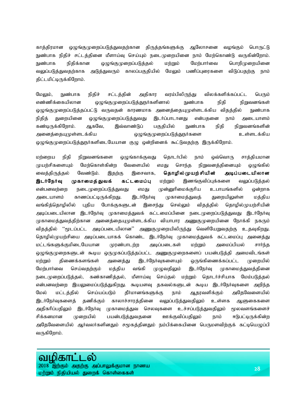காத்திரமான ஒழுங்குமுறைப்படுத்துவதற்கான திருத்தங்களுக்கு ஆலோசனை வழங்கும் பொருட்டு நுண்பாக நிதிச் சட்டத்தினை மீளாய்வு செய்யும் நடைமுறையினை நாம் மேற்கொண்டு வருகின்றோம். நுண்பாக நிதிக்கான ஒழுங்குமுறைப்படுத்தல் மற்றும் மேற்பார்வை பொறிமுறையினை வலுப்படுத்துவதற்காக அடுத்துவரும் காலப்பகுதியில் மேலும் பணிப்புரைகளை விடுப்பதற்கு நாம் திட்டமிட்டிருக்கிறோம்.

மேலும், நுண்பாக நிதிச் சட்டத்தின் அதிகார வரம்பிலிருந்து விலக்களிக்கப்பட்ட பெரும் எண்ணிக்கையிலான ஒழுங்குமுறைப்படுத்துநர்களினால் நுண்பாக நிதி நிறுவனங்கள் ஒழுங்குமுறைப்படுத்தப்பட்டு வருவதன் காரணமாக அனைத்தையுமுள்ளடக்கிய விதத்தில் நுண்பாக நிதித் துறையினை ஒழுங்குமுறைப்படுத்துவது இடர்ப்பாடானது என்பதனை நாம் அடையாளம் கண்டிருக்கிறோம். ஆகவே, இவ்வாண்டுப் பகுதியில் நுண்பாக நிதி நிறுவனங்களின் midj ;ijAKs ;slf ;fpa xOq ;FKiwg ;gLj ;JeHfis cs ;slf ;fpa ஒழுங்குமுறைப்படுத்துநர்களிடையேயான குழு ஒன்றினைக் கூட்டுவதற்கு இருக்கிறோம்.

மற்றைய நிதி நிறுவனங்களை ஒழுங்காக்குவது தொடர்பில் நாம் ஒவ்வொரு சாத்தியமான முயற்சிகளையும் மேற்கொள்கின்ற வேளையில் எமது சொந்த நிறுவனத்தினையும் ஒழுங்கில் வைத்திருத்தல் வேண்டும். இதற்கு இசைவாக, **தொழில்முயற்சியின் அடிப்படையிலான இடர்நேர்வு முகாமைத்துவக் கட்டமைப்பு** மற்றும் இணங்குவிப்புக்களை வலுப்படுத்தல் என்பனவற்றை நடைமுறைப்படுத்துவது எமது முன்னுரிமைக்குரிய உபாயங்களில் ஒன்றாக அடையாளம் காணப்பட்டிருக்கிறது. இடர்நேர்வு முகாமைத்துவத் துறையிலுள்ள மத்திய வங்கித்தொழிலில் புதிய போக்குகளுடன் இசைந்து செல்லும் விதத்தில் தொழில்முயற்சியின் அடிப்படையிலான இடர்நேர்வு முகாமைத்துவக் கட்டமைப்பினை நடைமுறைப்படுத்துவது இடர்நேர்வு முகாமைத்துவத்திற்கான அனைத்தையுமுள்ளடக்கிய வியாபார அணுகுமுறையினை நோக்கி நகரும் விதத்தில் ''மூடப்பட்ட அடிப்படையிலான'' அணுகுமுறையிலிருந்து வெளியேறுவதற்கு உதவுகிறது. தொழில்முயற்சியை அடிப்படையாகக் கொண்ட இடர்நேர்வு முகாமைத்துவக் கட்டமைப்பு அனைத்து மட்டங்களுக்குமிடையேயான முரண்பாடற்ற அடிப்படைகள் மற்றும் அமைப்பியல் சாா்ந்த ஒழுங்குமுறைகளுடன் கூடிய ஒருமுகப்படுத்தப்பட்ட அணுகுமுறைகளைப் பயன்படுத்தி அமைவிடங்கள் மற்றும் திணைக்களங்கள் அனைத்து இடர்நேர்வுகளையும் ஒருங்கிணைக்கப்பட்ட முறையில் மேற்பார்வை செய்வதற்கும் மத்திய வங்கி முழுவதிலும் இடர்நேர்வு முகாமைத்துவத்தினை நடைமுறைப்படுத்தல், கண்காணித்தல், மீளாய்வு செய்தல் மற்றும் தொடர்ச்சியாக மேம்படுத்தல் என்பனவற்றை இயலுமைப்படுத்துகிறது. கூடியளவு தகவல்களுடன் கூடிய இடர்நேர்வுகளை அறிந்த மேல் மட்டத்தில் செய்யப்படும் தீர்மானங்களுக்கு நாம் ஆதரவளிக்கும் அதேவேளையில் இடர்நேர்வுகளைத் தணிக்கும் காலாச்சாரத்தினை வலுப்படுத்துவதிலும் உள்ளக ஆளுகைகளை அதிகரிப்பதிலும் இடர்நேர்வு முகாமைத்துவ செலவுகளை உச்சப்படுத்துவதிலும் மூலவளங்களைச் சிக்கனமான முறையில் பயன்படுத்துவதனை ஊக்குவிப்பதிலும் நாம் ஈடுபட்டிருக்கின்ற அதேவேளையில் ஆர்வலர்களினதும் சமூகத்தினதும் நம்பிக்கையினை பெருமளவிற்குக் கட்டியெழுப்பி வருகிறோம்.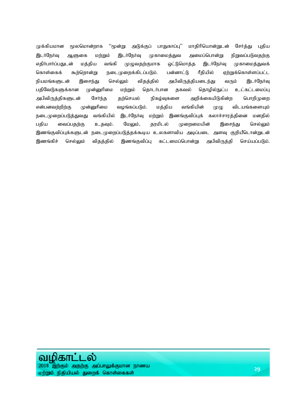முக்கியமான மூலமொன்றாக ''மூன்று அடுக்குப் பாதுகாப்பு'' மாதிரியொன்றுடன் சேர்த்து புதிய இடர்நேர்வு ஆளுகை மற்றும் இடர்நேர்வு முகாமைத்துவ அமைப்பொன்று நிறுவப்படுவதற்கு எதிர்பார்ப்பதுடன் மத்திய வங்கி முழுவதற்குமாக ஒட்டுமொத்த இடர்நேர்வு முகாமைத்துவக் கொள்கைக் கூற்றொன்று நடைமுறைக்கிடப்படும். பன்னாட்டு ரீதியில் ஏற்றுக்கொள்ளப்பட்ட நியமங்களுடன் இசைந்து செல்லும் விதத்தில் அபிவிருத்தியடைந்து வரும் இடர்நேர்வு பதிவேடுகளுக்கான முன்னுரிமை மற்றும் தொடர்பான தகவல் தொழில்நுட்ப உட்கட்டமைப்பு அபிவிருத்திகளுடன் சேர்ந்த தற்செயல் நிகழ்வுகளை அறிக்கையிடுகின்ற பொறிமுறை என்பனவற்றிற்கு முன்னுரிமை வழங்கப்படும். மத்திய வங்கியின் முழு விடயங்களையும் நடைமுறைப்படுத்துவது வங்கியில் இடர்நேர்வு மற்றும் இணங்குவிப்புக் கலாச்சாரத்தினை மனதில் பதிய வைப்பதற்கு உதவும். மேலும், தரமிடல் முறைமையின் இசைந்து செல்லும் இணங்குவிப்புக்களுடன் நடைமுறைப்படுத்தக்கூடிய உலகளாவிய அடிப்படை அளவு குறியீடொன்றுடன் இணங்கிச் செல்லும் விதத்தில் இணங்குவிப்பு கட்டமைப்பொன்று அபிவிருத்தி செய்யப்படும்.

#### வழிகா \_ல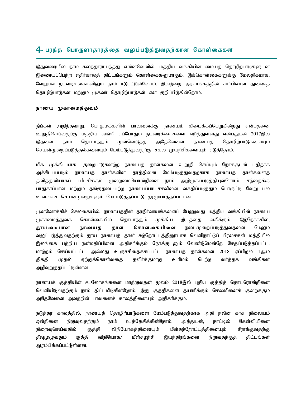#### $\boldsymbol{4}$ . பரந்த பொருளாதாரத்தை வலுப்படுத்துவதற்கான கொள்கைகள்

இதுவரையில் நாம் கலந்தாராய்ந்தது என்னவெனில், மத்திய வங்கியின் மையத் தொழிர்பாடுகளுடன் இணையப்பெற்ற எதிர்காலத் திட்டங்களும் கொள்கைகளுமாகும். இக்கொள்கைகளுக்கு மேலதிகமாக, வேறுபல நடவடிக்கைகளிலும் நாம் ஈடுபட்டுள்ளோம். இவற்றை அரசாங்கத்தின் சாா்பிலான துணைத் தொழிற்பாடுகள் மற்றும் முகவர் தொழிற்பாடுகள் என குறிப்பிடுகின்றோம்.

#### நாணய முகாமைத்துவம்

நீங்கள் அறிந்தவாறு, பொதுமக்களின் பாவனைக்கு நாணயம் கிடைக்கப்பெறுகின்றது என்பதனை உறுதிசெய்வதற்கு மத்திய வங்கி எப்போதும் நடவடிக்கைகளை எடுத்துள்ளது என்பதுடன் 2017இல் இதனை நாம் தொடர்ந்தும் முன்னெடுத்த அதேவேளை நாணயத் தொழிற்பாடுகளையும் செயன்முறைப்படுத்தல்களையும் மேம்படுத்துவதற்கு சகல முயற்சிகளையும் எடுத்தோம்.

மிக முக்கியமாக, குறைபாடுகளற்ற நாணயத் தாள்களை உறுதி செய்யும் நோக்குடன் புதிதாக அச்சிடப்பபடும் நாணயத் தாள்களின் தரத்தினை மேம்படுத்துவதற்காக நாணயத் தாள்களைத் தனித்தனியாகப் பரீட்சிக்கும் முறைமையொன்றினை நாம் அறிமுகப்படுத்தியுள்ளோம். சந்தைக்கு பாதுகாப்பான மற்றும் தங்குதடையற்ற நாணயப்பாய்ச்சலினை வசதிப்படுத்தும் பொருட்டு வேறு பல உள்ளகச் செயன்முறைகளும் மேம்படுத்தப்பட்டு தரமுயர்த்தப்பட்டன.

முன்னோக்கிச் செல்கையில், நாணயத்தின் தரநிர்ணயங்களைப் பேணுவது மத்திய வங்கியின் நாணய முகாமைத்துவக் கொள்கையில் தொடர்ந்தும் முக்கிய இடத்தை வகிக்கும். இந்நோக்கில், தூய்மையான நாணயத் தாள் கொள்கையினை நடைமுறைப்படுத்துவதனை மேலும் வலுப்படுத்துவதற்கும் தூய நாணயத் தாள் சுற்றோட்டத்தினூடாக வெளிநாட்டுப் பிரசைகள் மத்தியில் இலங்கை பற்றிய நன்மதிப்பினை அதிகரிக்கும் நோக்குடனும் வேண்டுமென்றே சேதப்படுத்தப்பட்ட, மாற்றம் செய்யப்பட்ட அல்லது உருச்சிதைக்கப்பட்ட நாணயத் தாள்களை 2018 ஏப்பிறல் 1ஆம் திகதி முதல் ஏற்றுக்கொள்வதை தவிர்க்குமாறு உரிமம் பெற்ற வர்த்தக வங்கிகள் அறிவுறுத்தப்பட்டுள்ளன.

நாணயக் குத்தியின் உலோகங்களை மாற்றுவதன் மூலம் 2018இல் புதிய குத்தித் தொடரொன்றினை வெளியிடுவதற்கும் நாம் திட்டமிடுகின்றோம். இது குத்திகளை தயாரிக்கும் செலவினைக் குறைக்கும் அதேவேளை அவற்றின் பாவனைக் காலத்தினையும் அதிகரிக்கும்.

நடுத்தர காலத்தில், நாணயத் தொழிற்பாடுகளை மேம்படுத்துவதற்காக அதி நவீன காசு நிலையம் ஒன்றினை நிறுவுவதற்கும் நாம் உத்தேசிக்கின்றோம். அத்துடன், நாட்டில் கேள்வியினை நிறைவுசெய்வதில் குத்தி விநியோகத்தினையும் மீள்சுற்றோட்டத்தினையும் சீராக்குவதற்கு தீவுமுழுவதும் குத்தி விநியோக/ மீள்சுழற்சி இயந்திரங்களை நிறுவதற்குத் திட்டங்கள் ஆரம்பிக்கப்பட்டுள்ளன.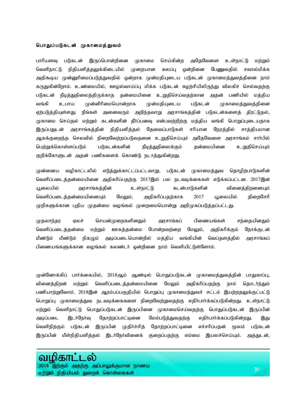#### பொதுப்படுகடன் முகாமைத்துவம்

பாரியளவு படுகடன் இருப்பொன்றினை முகாமை செய்கின்ற அதேவேளை உள்நாட்டு மற்றும் வெளிநாட்டு நிதியளித்தலுக்கிடையில் முறையான கலப்பு ஒன்றினை பேணுவதில் சவால்மிக்க அதிகூடிய முன்னுரிமைப்படுத்துவதில் ஒன்றாக முன்மதியுடைய படுகடன் முகாமைத்துவத்தினை நாம் கருதுகின்றோம். உண்மையில், ஊழல்வாய்ப்பு மிக்க படுகடன் சுழற்சியிலிருந்து விலகிச் செல்வதற்கு படுகடன் நீடித்துநிலைத்திருக்காத தன்மையினை உறுதிசெய்வதற்கான அதன் பணியில் மத்திய வங்கி உபாய முன்னிரிமையொன்றாக முன்மதியுடைய படுகடன் முகாமைத்துவத்தினை ஏற்படுத்தியுள்ளது. நீங்கள் அனைவரும் அறிந்தவாறு அரசாங்கத்தின் படுகடன்களைத் திரட்டுதல், முகாமை செய்தல் மற்றும் கடன்களின் தீா்ப்பனவு என்பவற்றிற்கு மத்திய வங்கி பொறுப்புடையதாக இருப்பதுடன் அரசாங்கத்தின் நிதியளித்தல் தேவைப்பாடுகள் சரியான நேரத்தில் சாத்தியமான ஆகக்குறைந்த செலவில் நிறைவேற்றப்படுவதனை உறுதிசெய்யும் அதேவேளை அரசாங்கம் சாா்பில் பெற்றுக்கொள்ளப்படும் படுகடன்களின் நீடித்துநிலைக்கும் தன்மையினை உறுதிசெய்யும் குறிக்கோளுடன் அதன் பணிகளைக் கொண்டு நடாத்துகின்றது.

முன்னைய வழிகாட்டலில் எடுத்துக்காட்டப்பட்டவாறு, படுகடன் முகாமைத்துவ தொழிற்பாடுகளின் வெளிப்படைத்தன்மையினை அதிகரிப்பதற்கு 2017இல் பல நடவடிக்கைகள் எடுக்கப்பட்டன. 2017இன் a+iyapy ; murhq ;fj ;jpd ; cs ;ehl ;L fld ;ghLfspd ; tpidj ;jpwidAk ; வெளிப்படைத்தன்மையினையும் மேலும், அதிகரிப்பதற்காக 2017 யூலையில் திறைசேரி முறிகளுக்கான புதிய முதன்மை வழங்கல் முறைமையொன்று அறிமுகப்படுத்தப்பட்டது.

முதலாந்தர ஏலச் செயன்முறைகளினதும் அரசாங்கப் பிணையங்கள் சந்தையினதும் வெளிப்படைத்தன்மை மற்றும் ஊகத்தன்மை போன்றவற்றை மேலும், அதிகரிக்கும் நோக்குடன் மீண்டும் மீண்டும் நிகழும் அடிப்படையொன்றில் மத்திய வங்கியின் வெப்தளத்தில் அரசாங்கப் பிணையங்களுக்கான வழங்கல் கலண்டர் ஒன்றினை நாம் வெளியிட்டுள்ளோம்.

முன்னோக்கிப் பார்க்கையில், 2018ஆம் ஆண்டில் பொதுப்படுகடன் முகாமைத்துவத்தின் பாதுகாப்பு, வினைத்திறன் மற்றும் வெளிப்படைத்தன்மையினை மேலும் அதிகரிப்பதற்கு நாம் தொடர்ந்தும் பணியாற்றுவோம். 2018இன் ஆரம்பப்பகுதியில் பொறுப்பு முகாமைத்துவச் சட்டம் இயற்றதலுக்குட்பட்டு பொறுப்பு முகாமைத்துவ நடவடிக்கைகளை நிறைவேற்றுவதற்கு எதிா்பாா்க்கப்படுகின்றது. உள்நாட்டு மற்றும் வெளிநாட்டு பொதுப்படுகடன் இருப்பினை முகாமைசெய்வதற்கு பொதுப்படுகடன் இருப்பின் அடிப்படை இடா்நோ்வு தோற்றப்பாட்டினை மேம்படுத்துவதற்கு எதிா்பாா்க்கப்படுகின்றது. இது வெளிநிற்கும் படுகடன் இருப்பின் முதிர்ச்சித் தோற்றப்பாட்டினை எச்சரிப்பதன் மூலம் படுகடன் இருப்பின் மீள்நிதியளித்தல் இடர்நேர்வினைக் குறைப்பதற்கு எம்மை இயலச்செய்யும். அத்துடன்,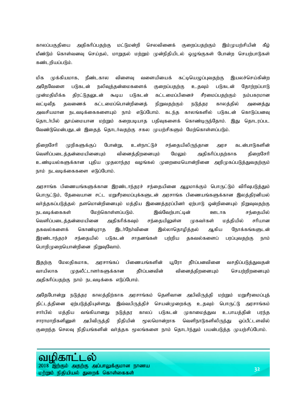காலப்பகுதியை அதிகரிப்பதற்கு மட்டுமன்றி செலவினைக் குறைப்பதற்கும் இம்முயற்சியின் கீழ் மீண்டும் கொள்வனவு செய்தல், மாறுதல் மற்றும் முன்நிதியிடல் ஒழுங்குகள் போன்ற செயற்பாடுகள் கண்டறியப்படும்.

மிக முக்கியமாக, நீண்டகால விளைவு வளையியைக் கட்டியெழுப்புவதற்கு இயலச்செய்கின்ற அதேவேளை படுகடன் நலிவுத்தன்மைகளைக் குறைப்பதற்கு உதவும் படுகடன் தோற்றப்பாடு முன்மதிமிக்க திரட்டுதலுடன் கூடிய படுகடன் கட்டமைப்பினைச் சீரமைப்பதற்கும் நம்பகரமான வட்டிவீத தவணைக் கட்டமைப்பொன்றினைத் நிறுவதற்கும் நடுத்தர காலத்தில் அனைத்து அவசியமான நடவடிக்கைகளையும் நாம் எடுப்போம். கடந்த காலங்களில் படுகடன் கொடுப்பனவு தொடா்பில் தூய்மையான மற்றும் கறைபடியாத பதிவுகளைக் கொண்டிருந்தோம். இது தொடரப்பட வேண்டுமென்பதுடன் இதைத் தொடர்வதற்கு சகல முயற்சிகளும் மேற்கொள்ளப்படும்.

திறைசேரி முறிகளுக்குப் போன்று, உள்நாட்டுச் சந்தையிலிருந்தான அரச கடன்பாடுகளின் வெளிப்படைத்தன்மையினையும் வினைத்திறனையும் மேலும் அதிகரிப்பதற்காக திறைசேரி உண்டியல்களுக்கான புதிய முதலாந்தர வழங்கல் முறைமையொன்றினை அறிமுகப்படுத்துவதற்கும் நாம் நடவடிக்கைகளை எடுப்போம்.

அரசாங்க பிணையங்களுக்கான இரண்டாந்தரச் சந்தையினை ஆழமாக்கும் பொருட்டும் விரிவுபடுத்தும் பொருட்டும், தேவையான சட்ட மறுசீரமைப்புக்களுடன் அரசாங்க பிணையங்களுக்கான இலத்திரனியல் வர்த்தகப்படுத்தல் தளமொன்றினையும் மத்திய இணைத்தரப்பினர் ஏற்பாடு ஒன்றினையும் நிறுவுவதற்கு நடவடிக்கைகள் மேற்கொள்ளப்படும். இவ்வேற்பாட்டின் ஊடாக சந்தையில் வெளிப்படைத்தன்மையினை அதிகரிக்கவும் சந்தையிலுள்ள முகவர்கள் மத்தியில் சரியான தகவல்களைக் கொண்டிராத இடர்நேர்வினை இல்லாதொழித்தல் ஆகிய நோக்கங்களுடன் இரண்டாந்தரச் சந்தையில் படுகடன் சாதனங்கள் பற்றிய தகவல்களைப் பரப்புவதற்கு நாம் பொறிமுறையொன்றினை நிறுவுவோம்.

இதற்கு மேலதிகமாக, அரசாங்கப் பிணையங்களின் யூரோ தீா்ப்பனவினை வசதிப்படுத்துவதன் வாயிலாக முதலீட்டாளர்களுக்கான தீர்ப்பனவின் வினைத்திறனையும் செயற்றிறனையும் அதிகரிப்பதற்கு நாம் நடவடிக்கை எடுப்போம்.

அதேபோன்று நடுத்தர காலத்திற்காக அரசாங்கம் தெளிவான அபிவிருத்தி மற்றும் மறுசீரமைப்புத் திட்டத்தினை ஏற்படுத்தியுள்ளது. இவ்வபிருத்திச் செயன்முறைக்கு உதவும் பொருட்டு அரசாங்கம் சாா்பில் மத்திய வங்கியானது நடுத்தர காலப் படுகடன் முகாமைத்துவ உபாயத்தின் பரந்த சாராமாறிகளினுள் அபிவிருத்தி நிதியின் மூலமொன்றாக வெளிநாடுகளிலிருந்து ஒப்பீட்டளவில் குறைந்த செலவு நிதியங்களின் வா்த்தக மூலங்களை நாம் தொடா்ந்தும் பயன்படுத்த முயற்சிப்போம்.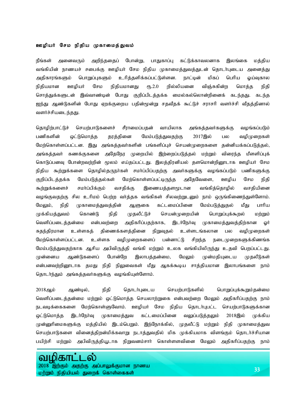#### ஊழியர் சேம நிதிய முகாமைத்துவம்

நீங்கள் அனைவரும் அறிந்ததைப் போன்று, பாதுகாப்பு கட்டுக்காவலனாக இலங்கை மத்திய வங்கியின் நாணயச் சபைக்கு ஊழியர் சேம நிதிய முகாமைத்துவத்துடன் தொடர்புடைய அனைத்து அதிகாரங்களும் பொறுப்புகளும் உரித்தளிக்கப்பட்டுள்ளன. நாட்டின் மிகப் பெரிய ஓய்வுகால நிதியமான ஊழியர் சேம நிதியமானது ரூ.2.0 றில்லியனை விஞ்சுகின்ற மொத்த நிதி சொத்துக்களுடன் இவ்வாண்டின் போது குறிப்பிடத்தக்க மைல்கல்லொன்றினைக் கடந்தது. கடந்த ஐந்து ஆண்டுகளின் போது ஏறக்குறைய பதின்மூன்று சதவீதக் கூட்டுச் சராசரி வளர்ச்சி வீதத்தினால் வளர்ச்சியடைந்தது.

தொழிற்பாட்டுச் செயற்பாடுகளைச் சீராமைப்பதன் வாயிலாக அங்கத்தவர்களுக்கு வழங்கப்படும் பணிகளின் ஒட்டுமொத்த தரத்தினை மேம்படுத்துவதற்கு 2017இல் பல வழிமுறைகள் மேற்கொள்ளப்பட்டன. இது அங்கத்தவர்களின் பங்களிப்புச் செயன்முறைகளை தன்னியக்கப்படுத்தல், அங்கத்தவர் கணக்குகளை அதேநேர முறையில் இற்றைப்படுத்தல் மற்றும் விரைந்த மீளளிப்புக் கொடுப்பனவு போன்றவற்றின் மூலம் எய்தப்பட்டது. இலத்திரனியல் தளமொன்றினூடாக ஊழியர் சேம நிதிய கூற்றுக்களை தொழில்தருநா்கள் சமா்ப்பிப்பதற்கு அவா்களுக்கு வழங்கப்படும் பணிகளுக்கு குறிப்பிடத்தக்க மேம்படுத்தல்கள் மேற்கொள்ளப்பட்டிருந்த அதேவேளை, ஊழிய சேம நிதி கூற்றுக்களைச் சமா்ப்பிக்கும் வசதிக்கு இணையத்தளமூடான வங்கித்தொழில் வசதியினை வழங்குவதற்கு சில உரிமம் பெற்ற வர்த்தக வங்கிகள் சிலவற்றுடனும் நாம் ஒருங்கிணைந்துள்ளோம். மேலும், நிதி முகாமைத்துவத்தின் ஆளுகை கட்டமைப்பினை மேம்படுத்துதல் மீது பாரிய முக்கியத்துவம் கொண்டு நிதி முதலீட்டுச் செயன்முறையின் பொறுப்புக்கூறல் மற்றும் வெளிப்படைத்தன்மை என்பவற்றை அதிகரிப்பதற்காக, இடர்நேர்வு முகாமைத்துவத்திற்கான ஓர் சுதந்திரமான உள்ளகத் திணைக்களத்தினை நிறுவுதல் உள்ளடங்கலான பல வழிமுறைகள் மேற்கொள்ளப்பட்டன. உள்ளக வழிமுறைகளைப் பன்னாட்டு சிறந்த நடைமுறைகளுக்கிணங்க மேம்படுத்துவதற்காக ஆசிய அபிவிருத்தி வங்கி மற்றும் உலக வங்கியிலிருந்து உதவி பெறப்பட்டது. முன்னைய ஆண்டுகளைப் போன்றே இலாபத்தன்மை, மேலும் முன்மதியுடைய முதலீடுகள் என்பனவற்றினூடாக தமது நிதி நிலுவைகள் மீது ஆகக்கூடிய சாத்தியமான இலாபங்களை நாம் தொடர்ந்தும் அங்கத்தவர்களுக்கு வழங்கியுள்ளோம்.

2018ஆம் ஆண்டில், நிதி தொடர்புடைய செயற்பாடுகளில் பொறுப்புக்கூறும்தன்மை வெளிப்படைத்தன்மை மற்றும் ஒட்டுமொத்த செயலாற்றுகை என்பவற்றை மேலும் அதிகரிப்பதற்கு நாம் நடவடிக்கைகளை மேற்கொள்ளுவோம். ஊழியர் சேம நிதிய தொடர்புபட்ட செயற்பாடுகளுக்கான ஒட்டுமொத்த இடர்நேர்வு முகாமைத்துவ கட்டமைப்பினை வலுப்படுத்தலும் 2018இல் முக்கிய முன்னுரிமைகளுக்கு மத்தியில் இடம்பெறும். இந்நோக்கில், முதலீட்டு மற்றும் நிதி முகாமைத்துவ செயற்பாடுகளை வினைத்திறன்மிக்கவாறு நடாத்துவதில் மிக முக்கியமாக விளங்கும் தொடர்ச்சியான பயிற்சி மற்றும் அபிவிருத்தியூடாக நிறுவனம்சார் கொள்ளளவினை மேலும் அதிகரிப்பதற்கு நாம்

## æн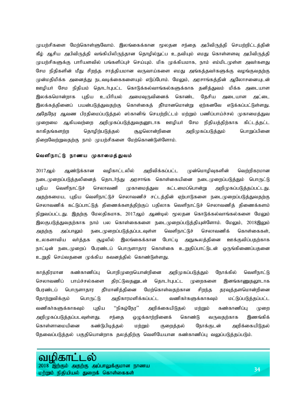முயற்சிகளை மேற்கொள்ளுவோம். இலங்கைக்கான மூலதன சந்தை அபிவிருத்தி செயற்றிட்டத்தின் கீழ் ஆசிய அபிவிருத்தி வங்கியிலிருந்தான தொழில்நுட்ப உதவியும் எமது கொள்ளளவு அபிவிருத்தி முயற்சிகளுக்கு பாரியளவில் பங்களிப்புச் செய்யும். மிக முக்கியமாக, நாம் எம்மிடமுள்ள அவர்களது சேம நிதிகளின் மீது சிறந்த சாத்தியமான வருவாய்களை எமது அங்கத்தவர்களுக்கு வழங்குவதற்கு முன்மதிமிக்க அனைத்து நடவடிக்கைகளையும் எடுப்போம். மேலும், அரசாங்கத்தின் ஆலோசனையுடன் ஊழியர் சேம நிதியம் தொடர்புபட்ட கொடுக்கல்வாங்கல்களுக்காக தனித்துவம் மிக்க அடையாள இலக்கமொன்றாக புதிய உயிரியல் அமைவுருவினைக் கொண்ட தேசிய அடையாள அட்டை இலக்கத்தினைப் பயன்படுத்துவதற்கு கொள்கைத் தீர்மானமொன்று ஏற்கனவே எடுக்கப்பட்டுள்ளது. அதேநேர ஆவண பிரதிமைப்படுத்தல் ஸ்கானிங் செயற்றிட்டம் மற்றும் பணிப்பாய்ச்சல் முகாமைத்துவ முறைமை ஆகியவற்றை அறிமுகப்படுத்துவதனூடாக ஊழியர் சேம நிதியத்திற்காக கிட்டத்தட்ட காகிதங்களற்ற தொழிற்படுத்தல் சூழலொன்றினை அறிமுகப்படுத்தும் பொறுப்பினை நிறைவேற்றுவதற்கு நாம் முயற்சிகளை மேற்கொண்டுள்ளோம்.

#### வெளிநாட்டு நாணய முகாமைத்துவம்

2017ஆம் ஆண்டுக்கான வழிகாட்டலில் அறிவிக்கப்பட்ட முன்மொழிவுகளின் வெற்றிகரமான நடைமுறைப்படுத்தலினைத் தொடா்ந்து அரசாங்க கொள்கையினை நடைமுறைப்படுத்தும் பொருட்டு புதிய வெளிநாட்டுச் செலாவணி முகாமைத்துவ கட்டமைப்பொன்று அறிமுகப்படுத்தப்பட்டது. அதற்கமைய, புதிய வெளிநாட்டுச் செலாவணிச் சட்டத்தின் ஏற்பாடுகளை நடைமுறைப்படுத்துவதற்கு செலாவணிக் கட்டுப்பாட்டுத் திணைக்களத்திற்குப் பதிலாக வெளிநாட்டுச் செலாவணித் திணைக்களம் நிறுவப்பட்டது. இதற்கு மேலதிகமாக, 2017ஆம் ஆண்டில் மூலதன கொடுக்கல்வாங்கல்களை மேலும் இலகுபடுத்துவதற்காக நாம் பல கொள்கைகளை நடைமுறைப்படுத்தியுள்ளோம். மேலும், 2018இலும் அதற்கு அப்பாலும் நடைமுறைப்படுத்தப்படவுள்ள வெளிநாட்டுச் செலாவணிக் கொள்கைகள், உலகளாவிய வா்த்தக சூழலில் இலங்கைக்கான போட்டி அநுகூலத்தினை ஊக்குவிப்பதற்காக நாட்டின் நடைமுறைப் பேரண்டப் பொருளாதார கொள்கை உறுதிப்பாட்டுடன் ஒருங்கிணைப்பதனை உறுதி செய்வதனை முக்கிய கவனத்தில் கொண்டுள்ளது.

காத்திரமான கண்காணிப்பு பொறிமுறையொன்றினை அறிமுகப்படுத்தும் நோக்கில் வெளிநாட்டு செலாவணிப் பாய்ச்சல்களை திரட்டுவதனுடன் தொடர்புபட்ட முறைகளை இனங்காணுதலூடாக பேரண்டப் பொருளாதார தீா்மானித்தினை மேற்கொள்வதற்கான சிறந்த தரவுத்தளமொன்றினை தோற்றுவிக்கும் பொருட்டு அதிகாரமளிக்கப்பட்ட வணிகா்களுக்காகவும் மட்டுப்படுத்தப்பட்ட வணிகா்களுக்காகவும் புதிய ''நிகழ்நேர'' அறிக்கையிடுதல் மற்றும் கண்காணிப்பு முறை அறிமுகப்படுத்தப்படவுள்ளது. சந்தை ஒழுக்காற்றினைக் கொண்டு வருவதற்காக இணங்கிக் கொள்ளாமையினை கண்டுபிடித்தல் மற்றும் குறைத்தல் நோக்குடன் அறிக்கையிடுதல் தேவைப்படுத்தல் பகுதியொன்றாக தலத்திற்கு வெளியேயான கண்காணிப்பு வலுப்படுத்தப்படும்.

# வழிகா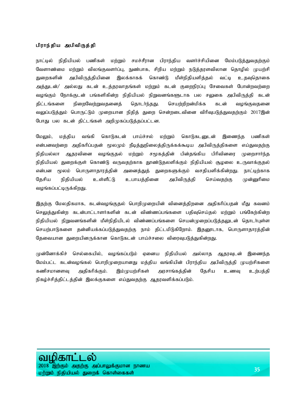#### பிராந்திய அபிவிருத்தி

நாட்டில் நிதியியல் பணிகள் மற்றும் சமச்சீரான பிராந்திய வளர்ச்சியினை மேம்படுத்துவதற்கும் வேளாண்மை மற்றும் விலங்குவளர்ப்பு, நுண்பாக, சிறிய மற்றும் நடுத்தரளவிலான தொழில் முயற்சி துறைகளின் அபிவிருத்தியினை இலக்காகக் கொண்டு மீள்நிதியளித்தல் வட்டி உதவுதொகை அத்துடன்/ அல்லது கடன் உத்தரவாதங்கள் மற்றும் கடன் குறைநிரப்பு சேவைகள் போன்றவற்றை வழங்கும் நோக்குடன் பங்களிகின்ற நிதியியல் நிறுவனங்களூடாக பல சலுகை அபிவிருத்தி கடன் திட்டங்களை நிறைவேற்றுவதனைத் தொடர்ந்தது. செயற்றிறன்மிக்க கடன் வழங்குவதனை வலுப்படுத்தும் பொருட்டும் முறையான நிதித் துறை சென்றடைவினை விரிவுபடுத்துவதற்கும் 2017இன் போது பல கடன் திட்டங்கள் அறிமுகப்படுத்தப்பட்டன.

மேலும், மத்திய வங்கி கொடுகடன் பாய்ச்சல் மற்றும் கொடுகடனுடன் இணைந்த பணிகள் என்பனவற்றை அதிகரிப்பதன் மூலமும் நீடித்துநிலைத்திருக்கக்கூடிய அபிவிருத்திகளை எய்துவதற்கு நிதியல்லா ஆதரவினை வழங்குதல் மற்றும் சமூகத்தின் பின்தங்கிய பிரிவினரை முறைசார்ந்த நிதியியல் துறைக்குள் கொண்டு வருவதற்காக தூண்டுதலளிக்கும் நிதியியல் சூழலை உருவாக்குதல் என்பன மூலம் பொருளாதாரத்தின் அனைத்துத் துறைகளுக்கும் வசதியளிக்கின்றது. நாட்டிற்காக தேசிய நிதியியல் உள்ளீட்டு உபாயத்தினை அபிவிருத்தி செய்வதற்கு முன்னுரிமை வழங்கப்பட்டிருக்கிறது.

இதற்கு மேலதிகமாக, கடன்வழங்குதல் பொறிமுறையின் வினைத்திறனை அதிகரிப்பதன் மீது கவனம் செலுத்துகின்ற கடன்பாட்டாளர்களின் கடன் விண்ணப்பங்களை பதிவுசெய்தல் மற்றும் பங்கேற்கின்ற நிதியியல் நிறுவனங்களின் மீள்நிதியிடல் விண்ணப்பங்களை செயன்முறைப்படுத்தலுடன் தொடா்புள்ள செயற்பாடுகளை தன்னியக்கப்படுத்துவதற்கு நாம் திட்டமிடுகிறோம். இதனூடாக, பொருளாதாரத்தின் தேவையான துறையினருக்கான கொடுகடன் பாய்ச்சலை விரைவுபடுத்துகின்றது.

முன்னோக்கிச் செல்கையில், வழங்கப்படும் ஏனைய நிதியியல் அல்லாத ஆதரவுடன் இணைந்த மேம்பட்ட கடன்வழங்கல் பொறிமுறையானது மத்திய வங்கியின் பிராந்திய அபிவிருத்தி முயற்சிகளை கணிசமானளவு அதிகரிக்கும். இம்முயற்சிகள் அரசாங்கத்தின் தேசிய உணவு உற்பத்தி நிகழ்ச்சித்திட்டத்தின் இலக்குகளை எய்துவதற்கு ஆதரவளிக்கப்படும்.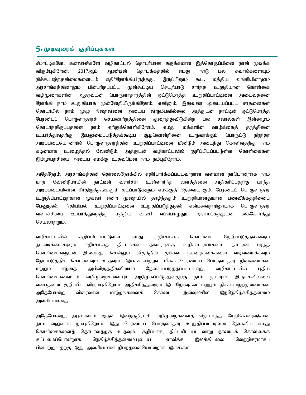## $5.$  முடிவுரைக் குறிப்புக்கள்

சீமாட்டிகளே, கனவான்களே வழிகாட்டல் தொடர்பான சுருக்கமான இத்தொகுப்பினை நான் முடிக்க விரும்புகிறேன். 2017ஆம் ஆண்டின் தொடக்கத்தில் எமது நாடு பல சவால்களையும் நிச்சயமற்றதன்மைகளையும் எதிர்நோக்கியிருந்தது. இருப்பினும் கூட, மத்திய வங்கியினாலும் அரசாங்கத்தினாலும் பின்பற்றப்பட்ட முன்கூட்டிய செயற்பாடு சார்ந்த உறுதியான கொள்கை வழிமுறைகளின் ஆதரவுடன் பொருளாதாரத்தின் ஒட்டுமொத்த உறுதிப்பாட்டினை அடைவதனை நோக்கி நாம் உறுதியாக முன்னேறியிருக்கிறோம். எனினும், இதுவரை அடையப்பட்ட சாதனைகள் தொடர்பில் நாம் முழு நிறைவினை அடைய விரும்பவில்லை. அத்துடன் நாட்டின் ஒட்டுமொத்த பேரண்டப் பொருளாதாரச் செயலாற்றத்தினை குறைத்துவிடுகின்ற பல சவால்கள் இன்னமும் தொடர்ந்திருப்பதனை நாம் ஏற்றுக்கொள்கிறோம். எமது மக்களின் வாழ்க்கைத் தரத்தினை உயர்த்துவதற்கு இயலுமைப்படுத்தக்கூடிய சூழலொன்றினை உருவாக்கும் பொருட்டு நிரந்தர அடிப்படையொன்றில் பொருளாதாரத்தின் உறுதிப்பாட்டினை மீண்டும் அடைந்து கொள்வதற்கு நாம் கடினமாக உழைத்தல் வேண்டும். அத்துடன் வழிகாட்டலில் குறிப்பிடப்பட்டுள்ள கொள்கைகள் இம்முயற்சியை அடைய எமக்கு உதவுமென நாம் நம்புகிறோம்.

அதேநேரம், அரசாங்கத்தின் தொலைநோக்கில் எதிர்பார்க்கப்பட்டவாறான வளமான நாடொன்றாக நாம் மாற வேண்டுமாயின் நாட்டின் வளர்ச்சி உள்ளார்ந்த வளத்தினை அதிகரிப்பதற்கு பரந்த அடிப்படையிலான சீர்திருத்தங்களும் கடப்பாடுகளும் எமக்குத் தேவையாகும். பேரண்டப் பொருளாதார உறுதிப்பாட்டிற்கான முகவர் என்ற முறையில் தாழ்ந்ததும் உறுதியானதுமான பணவீக்கத்தினைப் பேணுதல், நிதியியல் உறுதிப்பாட்டினை உறுதிப்படுத்துதல் என்பனவற்றினூடாக பொருளாதார வளர்ச்சியை உயர்த்துவதற்கு மத்திய வங்கி எப்பொழுதும் அரசாங்கத்துடன் கைகோர்த்து செயலாற்றும்.

வழிகாட்டலில் குறிப்பிடப்பட்டுள்ள எமது எதிர்காலக் கொள்கை நெறிப்படுத்தல்களும் நடவடிக்கைகளும் எதிர்காலத் திட்டங்கள் தங்களுக்கு வழிகாட்டியாகவும் நாட்டின் பரந்த கொள்கைகளுடன் இசைந்து செல்லும் விதத்தில் தங்கள் நடவடிக்கைகளை வடிவமைக்கவும் நேர்ப்படுத்திக் கொள்ளவும் உதவும். இயக்கவாற்றல் மிக்க பேரண்டப் பொருளாதார நிலைமைகள் மற்றும் சந்தை அபிவிருத்திகளினால் தேவைப்படுத்தப்பட்டவாறு, வழிகாட்டலில் புதிய கொள்கைகளையும் வழிமுறைகளையும் அறிமுகப்படுத்துவதற்கு நாம் தயாராக இருக்கவில்லை என்பதனை குறிப்பிட விரும்புகிறோம். அதிகரித்துவரும் இடர்நேர்வுகள் மற்றும் நிச்சயமற்றதன்மைகள் அதேபோன்று விரைவான மாற்றங்களைக் கொண்ட இவ்வுலகில் இந்நெகிழ்ச்சித்தன்மை அவசியமானது.

அதேபோன்று, அரசாங்கம் அதன் இறைத்திரட்சி வழிமுறைகளைத் தொடர்ந்து மேற்கொள்ளுமென நாம் வலுவாக நம்புகிறோம். இது பேரண்டப் பொருளாதார உறுதிப்பாட்டினை நோக்கிய எமது கொள்கைகளைத் தொடர்வதற்கு உதவும். குறிப்பாக, திட்டமிடப்பட்டவாறு நாணயக் கொள்கைக் கட்டமைப்பொன்றாக நெகிழ்ச்சிக்கன்மையுடைய பணவீக்க இலக்கிடலை வெற்றிகாமாகப் பின்பற்றுவதற்கு இது அவசியமான நிபந்தனையொன்றாக இருக்கும்.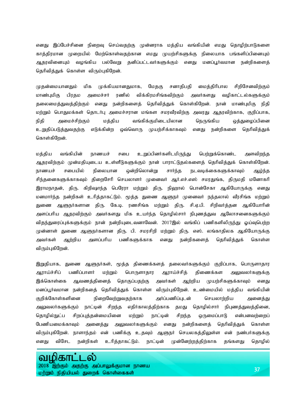எனது இப்பேச்சினை நிறைவு செய்வதற்கு முன்னராக மத்திய வங்கியின் எமது தொழிற்பாடுகளை காத்திரமான முறையில் மேற்கொள்வதற்கான எமது முயற்சிகளுக்கு நிலையாக பங்களிப்பினையும் ஆதரவினையும் வழங்கிய பல்வேறு தனிப்பட்டவர்களுக்கும் எனது மனப்பூர்வமான நன்றிகளைத் தெரிவித்துக் கொள்ள விரும்புகிறேன்.

முதன்மையானதும் மிக முக்கியமானதுமாக, மேதகு சனாதிபதி மைத்திரிபால சிறிசேனவிற்கும் மாண்புமிகு பிரதம அமைச்சர் ரணில் விக்கிரமசிங்கவிற்கும் அவர்களது வழிகாட்டல்களுக்கும் தலைமைத்துவத்திற்கும் எனது நன்றிகளைத் தெரிவித்துக் கொள்கிறேன். நான் மாண்புமிகு நிதி மற்றும் பொதுமக்கள் தொடர்பு அமைச்சரான மங்கள சமரவீரவிற்கு அவரது ஆதரவிற்காக, குறிப்பாக, நிதி அமைச்சிற்கும் மத்திய வங்கிக்குமிடையிலான நெருங்கிய ஒத்துழைப்பினை உறுதிப்படுத்துவதற்கு எடுக்கின்ற ஒவ்வொரு முயற்சிக்காகவும் எனது நன்றிகளை தெரிவித்துக் கொள்கிறேன்.

மத்திய வங்கியின் நாணயச் சபை உறுப்பினர்களிடமிருந்து பெற்றுக்கொண்ட அளவிறந்த ஆதரவிற்கும் முன்மதியுடைய உள்ளீடுகளுக்கும் நான் பாராட்டுதல்களைத் தெரிவித்துக் கொள்கிறேன். நாணயச் சபையில் நிலையான ஒன்றிலொன்று சார்ந்த நடவடிக்கைகளுக்காவும் ஆழ்ந்த சிந்தனைகளுக்காகவும் திறைசேரி செயலாளர் முனைவர் ஆர்.எச்.எஸ் சமரதுங்க, திருமதி மனோகரி இராமநாதன், திரு. கிறிஷாந்த பெரேரா மற்றும் திரு. நிஹால் பொன்சேகா ஆகியோருக்கு எனது மனமார்ந்த நன்றிகள் உரித்தாகட்டும். மூத்த துணை ஆளுநர் முனைவர் நந்தலால் வீரசிங்க மற்றும் துணை ஆளுநர்களான திரு. கே.டி. ரணசிங்க மற்றும் திரு. சி.ஏ.பி. சிறிவர்த்தன ஆகியோரின் அளப்பரிய ஆதரவிற்கும் அவர்களது மிக உயர்ந்த தொழில்சார் நிபுணத்துவ ஆலோசனைகளுக்கும் விதந்துரைப்புக்களுக்கும் நான் நன்றியுடைவனாவேன். 2017இல் வங்கிப் பணிகளிலிருந்து ஓய்வுபெற்ற முன்னாள் துணை ஆளுநர்களான திரு. பி. சமரசிறி மற்றும் திரு. எஸ். லங்காதிலக ஆகியோருக்கு அவர்கள் ஆற்றிய அளப்பரிய பணிகளுக்காக எனது நன்றிகளைத் தெரிவித்துக் கொள்ள விரும்புகிறேன்.

இறுதியாக, துணை ஆளுநா்கள், மூத்த திணைக்களத் தலைவா்களுக்கும் குறிப்பாக, பொருளாதார ஆராய்ச்சிப் பணிப்பாளர் மற்றும் பொருளாதார ஆராய்ச்சித் திணைக்கள அலுவலர்களுக்கு இக்கொள்கை ஆவணத்தினைத் தொகுப்பதற்கு அவர்கள் ஆற்றிய முயற்சிகளுக்காவும் எனது மனப்பூர்வமான நன்றிகதை தெரிவித்துக் கொள்ள விரும்புகிறேன். உண்மையில் மத்திய வங்கியின் குறிக்கோள்களினை நிறைவேற்றுவதற்காக அர்ப்பணிப்புடன் செயலாற்றிய அனைத்து அலுவலர்களுக்கும் நாட்டின் சிறந்த எதிர்காலத்திற்காக தமது தொழில்சார் நிபுணத்துவத்தினை, தொழில்நுட்ப சிறப்புத்தன்மையினை மற்றும் நாட்டின் சிறந்த ஒருமைப்பாடு என்பனவற்றைப் பேணியமைக்காவும் அனைத்து அலுவலர்களுக்கும் எனது நன்றிகளைத் தெரிவித்துக் கொள்ள விரும்புகிறேன். நாளாந்தம் என் பணிக்கு உதவும் ஆளுநர் செயலகத்திலுள்ள என் நண்பர்களுக்கு எனது விசேட நன்றிகள் உரித்தாகட்டும். நாட்டின் முன்னேற்றத்திற்காக தங்களது தொழில்

#### ழிகா வட ல